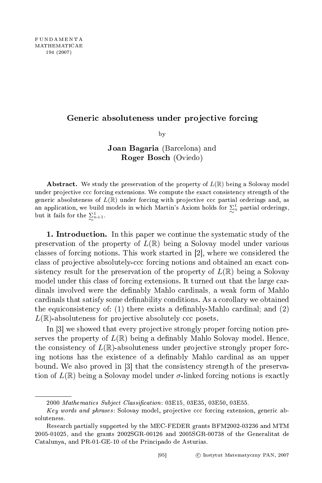### Generi absoluteness under pro je
tive for
ing

by  $\overline{\phantom{a}}$ 

## Joan Bagaria (Bar
elona) and Roger Bos
h (Oviedo)

**Abstract.** We study the preservation of the property of  $L(\mathbb{R})$  being a Solovay model under projective ccc forcing extensions. We compute the exact consistency strength of the generic absoluteness of  $L(\mathbb{R})$  under forcing with projective ccc partial orderings and, as an application, we build models in which Martin's Axiom holds for  $\sum_{n=1}^{\infty}$  partial orderings, but it fails for the  $\sum_{n+1}^{1}$ .

1. Introdu
tion. In this paper we ontinue the systemati study of the preservation of the property of  $L(\mathbb{R})$  being a Solovay model under various classes of forcing notions. This work started in [2], where we considered the class of projective absolutely-ccc forcing notions and obtained an exact consistency result for the preservation of the property of  $L(\mathbb{R})$  being a Solovay model under this class of forcing extensions. It turned out that the large cardinals involved were the definably Mahlo cardinals, a weak form of Mahlo ardinals that satisfy some denability onditions. As a orollary we obtained the equiconsistency of: (1) there exists a definably-Mahlo cardinal; and (2)  $L(\mathbb{R})$ -absoluteness for projective absolutely ccc posets.

In [3] we showed that every projective strongly proper forcing notion preserves the property of  $L(\mathbb{R})$  being a definably Mahlo Solovay model. Hence, the consistency of  $L(\mathbb{R})$ -absoluteness under projective strongly proper forcing notions has the existence of a definably Mahlo cardinal as an upper bound. We also proved in  $[3]$  that the consistency strength of the preservation of  $L(\mathbb{R})$  being a Solovay model under  $\sigma$ -linked forcing notions is exactly

<sup>2000</sup> Mathematics Subject Classification: 03E15, 03E35, 03E50, 03E55.

Key words and phrases: Solovay model, projective ccc forcing extension, generic absoluteness.

Resear
h partially supported by the MEC-FEDER grants BFM2002-03236 and MTM 2005-01025, and the grants 2002SGR-00126 and 2005SGR-00738 of the Generalitat de Catalunya, and PR-01-GE-10 of the Prin
ipado de Asturias.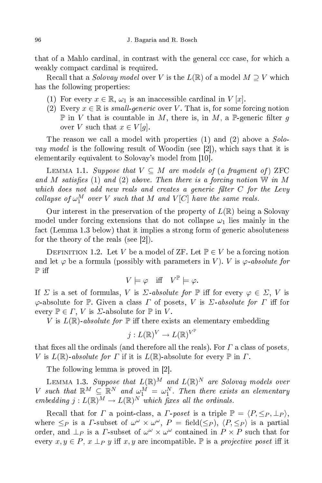that of a Mahlo cardinal, in contrast with the general ccc case, for which a weakly compact cardinal is required.

Recall that a *Solovay model* over V is the  $L(\mathbb{R})$  of a model  $M \supseteq V$  which has the following properties:

- (1) For every  $x \in \mathbb{R}$ ,  $\omega_1$  is an inaccessible cardinal in  $V[x]$ .
- (2) Every  $x \in \mathbb{R}$  is small-generic over V. That is, for some forcing notion  $\mathbb P$  in V that is countable in M, there is, in M, a  $\mathbb P$ -generic filter g over V such that  $x \in V[q]$ .

The reason we call a model with properties  $(1)$  and  $(2)$  above a *Solovay model* is the following result of Woodin (see [2]), which says that it is elementarily equivalent to Solovay's model from [10].

LEMMA 1.1. Suppose that  $V \subseteq M$  are models of (a fragment of) ZFC and M satisfies (1) and (2) above. Then there is a forcing notion  $W$  in M which does not add new reals and creates a generic filter  $C$  for the Levy collapse of  $\omega_1^M$  over V such that M and  $V[C]$  have the same reals.

Our interest in the preservation of the property of  $L(\mathbb{R})$  being a Solovay model under forcing extensions that do not collapse  $\omega_1$  lies mainly in the fact (Lemma 1.3 below) that it implies a strong form of generic absoluteness for the theory of the reals (see  $[2]$ ).

DEFINITION 1.2. Let V be a model of ZF. Let  $\mathbb{P} \in V$  be a forcing notion and let  $\varphi$  be a formula (possibly with parameters in V). V is  $\varphi$ -absolute for  $\mathbb P$  iff

$$
V \models \varphi \quad \text{iff} \quad V^{\mathbb{P}} \models \varphi.
$$

If  $\Sigma$  is a set of formulas, V is  $\Sigma$ -absolute for  $\mathbb P$  iff for every  $\varphi \in \Sigma$ , V is  $\varphi$ -absolute for P. Given a class  $\Gamma$  of posets,  $V$  is  $\Sigma$ -absolute for  $\Gamma$  iff for every  $\mathbb{P} \in \Gamma$ , V is  $\Sigma$ -absolute for  $\mathbb{P}$  in V.

V is  $L(\mathbb{R})$ -absolute for  $\mathbb P$  iff there exists an elementary embedding

$$
j:L(\mathbb{R})^V\to L(\mathbb{R})^{V^\mathbb{P}}
$$

that fixes all the ordinals (and therefore all the reals). For  $\Gamma$  a class of posets, V is  $L(\mathbb{R})$ -absolute for  $\Gamma$  if it is  $L(\mathbb{R})$ -absolute for every  $\mathbb P$  in  $\Gamma$ .

The following lemma is proved in  $[2]$ .

LEMMA 1.3. Suppose that  $L(\mathbb{R})^M$  and  $L(\mathbb{R})^N$  are Solovay models over<br>V such that  $\mathbb{R}^M \subseteq \mathbb{R}^N$  and  $\omega_1^M = \omega_1^N$ . Then there exists an elementary embedding  $j: L(\mathbb{R})^M \to L(\mathbb{R})^N$  which fixes all the ordinals.

Recall that for  $\Gamma$  a point-class, a  $\Gamma$ -poset is a triple  $\mathbb{P} = \langle P, \leq_P, \perp_P \rangle$ , where  $\leq_P$  is a *Γ*-subset of  $\omega^{\omega} \times \omega^{\omega}$ ,  $P = \text{field}(\leq_P)$ ,  $\langle P, \leq_P \rangle$  is a partial order, and  $\perp_P$  is a *Γ*-subset of  $\omega^{\omega} \times \omega^{\omega}$  contained in  $P \times P$  such that for every  $x, y \in P$ ,  $x \perp_P y$  iff  $x, y$  are incompatible.  $\mathbb P$  is a projective poset iff it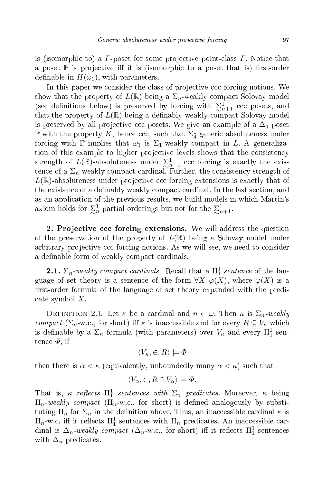is (isomorphic to) a  $\Gamma$ -poset for some projective point-class  $\Gamma$ . Notice that a poset  $\mathbb P$  is projective iff it is (isomorphic to a poset that is) first-order definable in  $H(\omega_1)$ , with parameters.

In this paper we consider the class of projective ccc forcing notions. We show that the property of  $L(\mathbb{R})$  being a  $\Sigma_n$ -weakly compact Solovay model (see definitions below) is preserved by forcing with  $\sum_{n=1}^{1}$  ccc posets, and that the property of  $L(\mathbb{R})$  being a definably weakly compact Solovay model is preserved by all projective ccc posets. We give an example of a  $\Delta_3^1$  poset  $\mathbb P$  with the property K, hence ccc, such that  $\Sigma^1_4$  generic absoluteness under forcing with  $\mathbb P$  implies that  $\omega_1$  is  $\Sigma_1$ -weakly compact in L. A generalization of this example to higher projective levels shows that the consistency strength of  $L(\mathbb{R})$ -absoluteness under  $\sum_{i=1}^{1}$  ccc forcing is exactly the exis-<br>tenso of a  $\Sigma$  much vecular conditional purpose the conditional change of a strength of tence of a  $\Sigma_n$ -weakly compact cardinal. Further, the consistency strength of  $L(\mathbb{R})$ -absoluteness under projective ccc forcing extensions is exactly that of the existence of a definably weakly compact cardinal. In the last section, and as an appli
ation of the previous results, we build models in whi
h Martin's axiom holds for  $\sum_{n=1}^{\infty}$  partial orderings but not for the  $\sum_{n=1}^{\infty}$ .

2. Pro je
tive for
ing extensions. We will address the question of the preservation of the property of  $L(\mathbb{R})$  being a Solovay model under arbitrary projective ccc forcing notions. As we will see, we need to consider a definable form of weakly compact cardinals.

**2.1.**  $\Sigma_n$ -weakly compact cardinals. Recall that a  $\Pi_1^1$  sentence of the language of set theory is a sentence of the form  $\forall X \varphi(X)$ , where  $\varphi(X)$  is a first-order formula of the language of set theory expanded with the predicate symbol  $X$ .

DEFINITION 2.1. Let  $\kappa$  be a cardinal and  $n\in\omega.$  Then  $\kappa$  is  $\Sigma_n\text{-}weakly$ compact ( $\Sigma_n$ -w.c., for short) iff  $\kappa$  is inaccessible and for every  $R \subseteq V_\kappa$  which is definable by a  $\Sigma_n$  formula (with parameters) over  $V_\kappa$  and every  $\Pi^1_1$  sentence  $\varPhi$ , if

$$
\langle V_\kappa,\in,R\rangle\models\varPhi
$$

then there is  $\alpha < \kappa$  (equivalently, unboundedly many  $\alpha < \kappa$ ) such that

$$
\langle V_{\alpha}, \in, R \cap V_{\alpha} \rangle \models \varPhi.
$$

That is,  $\kappa$  reflects  $\Pi_1^1$  sentences with  $\Sigma_n$  predicates. Moreover,  $\kappa$  being  $\Pi_n$ -weakly compact ( $\Pi_n$ -w.c., for short) is defined analogously by substituting  $\Pi_n$  for  $\Sigma_n$  in the definition above. Thus, an inaccessible cardinal  $\kappa$  is  $\Pi_n$ -w.c. iff it reflects  $\Pi_1^1$  sentences with  $\Pi_n$  predicates. An inaccessible cardinal is  $\Delta_n$ -weakly compact ( $\Delta_n$ -w.c., for short) iff it reflects  $\Pi_1^1$  sentences with  $\Delta_n$  predicates.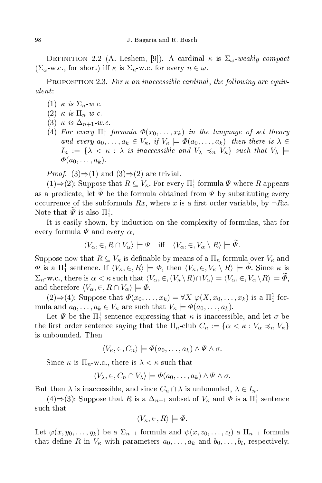DEFINITION 2.2 (A. Leshem, [9]). A cardinal  $\kappa$  is  $\Sigma_{\omega}$ -weakly compact  $(\Sigma_{\omega}$ -w.c., for short) if  $\kappa$  is  $\Sigma_{n}$ -w.c. for every  $n \in \omega$ .

PROPOSITION 2.3. For  $\kappa$  an inaccessible cardinal, the following are equivalent:

- (1)  $\kappa$  is  $\Sigma_n$ -w.c.
- (2)  $\kappa$  is  $\Pi_n$ -w.c.
- (3)  $\kappa$  is  $\Delta_{n+1}$ -w.c.
- (4) For every  $\Pi_1^1$  formula  $\Phi(x_0,\ldots,x_k)$  in the language of set theory and every  $a_0, \ldots, a_k \in V_\kappa$ , if  $V_\kappa \models \Phi(a_0, \ldots, a_k)$ , then there is  $\lambda \in$  $I_n := \{\lambda \leq \kappa : \lambda \text{ is inaccessible and } V_\lambda \preccurlyeq_n V_\kappa\}$  such that  $V_\lambda \models$  $\Phi(a_0,\ldots,a_k).$

*Proof.* (3) $\Rightarrow$ (1) and (3) $\Rightarrow$ (2) are trivial.

(1)⇒(2): Suppose that  $R \subseteq V_{\kappa}$ . For every  $\Pi^1_1$  formula  $\Psi$  where  $R$  appears as a predicate, let  $\widetilde{\Psi}$  be the formula obtained from  $\Psi$  by substituting every occurrence of the subformula Rx, where x is a first order variable, by  $\neg Rx$ . Note that  $\tilde{\Psi}$  is also  $\Pi^1_1$ .

It is easily shown, by indu
tion on the omplexity of formulas, that for every formula  $\Psi$  and every  $\alpha$ ,

$$
\langle V_\alpha,\in,R\cap V_\alpha\rangle\models \varPsi\quad\text{iff}\quad \langle V_\alpha,\in,V_\alpha\setminus R\rangle\models \widetilde{\varPsi}.
$$

Suppose now that  $R \subseteq V_{\kappa}$  is definable by means of a  $\Pi_n$  formula over  $V_{\kappa}$  and  $\Phi$  is a  $\Pi_1^1$  sentence. If  $\langle V_\kappa, \in, R \rangle \models \Phi$ , then  $\langle V_\kappa, \in, V_\kappa \setminus R \rangle \models \Phi$ . Since  $\kappa$  is  $\Sigma_n$ -w.c., there is  $\alpha < \kappa$  such that  $\langle V_\alpha, \in, (V_\kappa \setminus R) \cap V_\alpha \rangle = \langle V_\alpha, \in, V_\alpha \setminus R \rangle \models \widetilde{\Phi},$ and therefore  $\langle V_\alpha, \in, R \cap V_\alpha \rangle \models \varPhi$ .

(2)  $\Rightarrow$  (4): Suppose that  $\Phi(x_0,\ldots,x_k) = \forall X \; \varphi(X,x_0,\ldots,x_k)$  is a  $\Pi_1^1$  formula and  $a_0, \ldots, a_k \in V_\kappa$  are such that  $V_\kappa \models \Phi(a_0, \ldots, a_k)$ .

Let  $\Psi$  be the  $\Pi^1_1$  sentence expressing that  $\kappa$  is inaccessible, and let  $\sigma$  be the first order sentence saying that the  $\Pi_n$ -club  $C_n := \{ \alpha < \kappa : V_\alpha \preccurlyeq_n V_\kappa \}$ is unbounded. Then

$$
\langle V_{\kappa}, \in, C_n \rangle \models \Phi(a_0, \ldots, a_k) \land \Psi \land \sigma.
$$

Since  $\kappa$  is  $\Pi_n$ -w.c., there is  $\lambda < \kappa$  such that

$$
\langle V_{\lambda}, \in, C_n \cap V_{\lambda} \rangle \models \Phi(a_0, \dots, a_k) \land \Psi \land \sigma.
$$

But then  $\lambda$  is inaccessible, and since  $C_n \cap \lambda$  is unbounded,  $\lambda \in I_n$ .

(4)  $\Rightarrow$  (3): Suppose that R is a  $\Delta_{n+1}$  subset of  $V_{\kappa}$  and  $\Phi$  is a  $\Pi_1^1$  sentence su
h that

$$
\langle V_\kappa,\in,R\rangle \models \varPhi.
$$

Let  $\varphi(x, y_0, \ldots, y_k)$  be a  $\Sigma_{n+1}$  formula and  $\psi(x, z_0, \ldots, z_l)$  a  $\Pi_{n+1}$  formula that define R in  $V_{\kappa}$  with parameters  $a_0, \ldots, a_k$  and  $b_0, \ldots, b_l$ , respectively.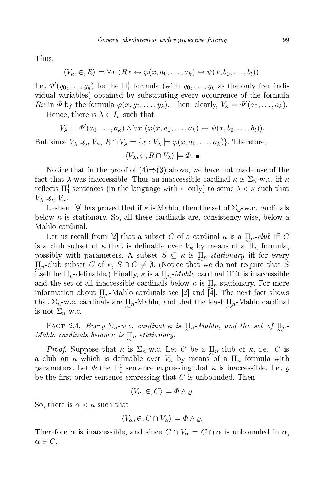Thus,

$$
\langle V_{\kappa}, \in, R \rangle \models \forall x \ (Rx \leftrightarrow \varphi(x, a_0, \ldots, a_k) \leftrightarrow \psi(x, b_0, \ldots, b_l)).
$$

Let  $\Phi'(y_0,\ldots,y_k)$  be the  $\Pi^1_1$  formula (with  $y_0,\ldots,y_k$  as the only free individual variables) obtained by substituting every occurrence of the formula Rx in  $\Phi$  by the formula  $\varphi(x, y_0, \ldots, y_k)$ . Then, clearly,  $V_\kappa \models \Phi'(a_0, \ldots, a_k)$ .

Hence, there is  $\lambda \in I_n$  such that

$$
V_{\lambda} \models \Phi'(a_0, \ldots, a_k) \land \forall x \ (\varphi(x, a_0, \ldots, a_k) \leftrightarrow \psi(x, b_0, \ldots, b_l)).
$$

But since  $V_{\lambda} \preccurlyeq_n V_{\kappa}$ ,  $R \cap V_{\lambda} = \{x : V_{\lambda} \models \varphi(x, a_0, \ldots, a_k)\}\$ . Therefore,

$$
\langle V_{\lambda}, \in, R \cap V_{\lambda} \rangle \models \varPhi.
$$

Notice that in the proof of  $(4) \Rightarrow (3)$  above, we have not made use of the fact that  $\lambda$  was inaccessible. Thus an inaccessible cardinal  $\kappa$  is  $\Sigma_n$ -w.c. iff  $\kappa$ reflects  $\Pi^1_1$  sentences (in the language with  $\in$  only) to some  $\lambda < \kappa$  such that  $V_{\lambda} \preccurlyeq_n V_{\kappa}$ .

Leshem [9] has proved that if  $\kappa$  is Mahlo, then the set of  $\Sigma_{\omega}$ -w.c. cardinals below  $\kappa$  is stationary. So, all these cardinals are, consistency-wise, below a Mahlo ardinal.

Let us recall from [2] that a subset C of a cardinal  $\kappa$  is a  $\Pi_n$ -club iff C<br>relatively in that is defined as a K holomorphic  $\prod_{n=1}^{\infty}$  formula is a club subset of  $\kappa$  that is definable over  $V_{\kappa}$  by means of a  $\Pi_n$  formula, possibly with parameters. A subset  $S \subseteq \kappa$  is  $\Pi_n$ -stationary iff for every  $\Pi_n$ -club subset C of  $\kappa$ ,  $S \cap C \neq \emptyset$ . (Notice that we do not require that S itself be  $\Pi_n$ -definable.) Finally,  $\kappa$  is a  $\Pi_n$ -Mahlo cardinal iff it is inaccessible<br>curl the set of all increases the condinals halo say is  $\Pi$  at the same Formance and the set of all inaccessible cardinals below  $\kappa$  is  $\Pi_n$ -stationary. For more information about  $\Pi_n$ -Mahlo cardinals see [2] and [4]. The next fact shows<br>that  $\Sigma$  are arguments on  $\Pi$ , Mahlo and that the last  $\Pi$ , Mahlo cardinal that  $\Sigma_n$ -w.c. cardinals are  $\Pi_n$ -Mahlo, and that the least  $\Pi_n$ -Mahlo cardinal<br>is not  $\Sigma$  are a is not  $\Sigma_n$ -w.c.

FACT 2.4. Every  $\Sigma_n$ -w.c. cardinal κ is  $\Pi_n$ -Mahlo, and the set of  $\Pi_n$ -Mahlo cardinals below  $\kappa$  is  $\prod_{\alpha}$ -stationary.

*Proof.* Suppose that  $\kappa$  is  $\Sigma_n$ -w.c. Let C be a  $\Pi_n$ -club of  $\kappa$ , i.e., C is a club on  $\kappa$  which is definable over  $V_{\kappa}$  by means of a  $\Pi_n$  formula with parameters. Let  $\Phi$  the  $\Pi_1^1$  sentence expressing that  $\kappa$  is inaccessible. Let  $\varrho$ be the first-order sentence expressing that  $C$  is unbounded. Then

$$
\langle V_\kappa,\in,C\rangle\models\varPhi\wedge\varrho.
$$

So, there is  $\alpha < \kappa$  such that

$$
\langle V_{\alpha}, \in, C \cap V_{\alpha} \rangle \models \varPhi \wedge \varrho.
$$

Therefore  $\alpha$  is inaccessible, and since  $C \cap V_{\alpha} = C \cap \alpha$  is unbounded in  $\alpha$ ,  $\alpha \in C$ .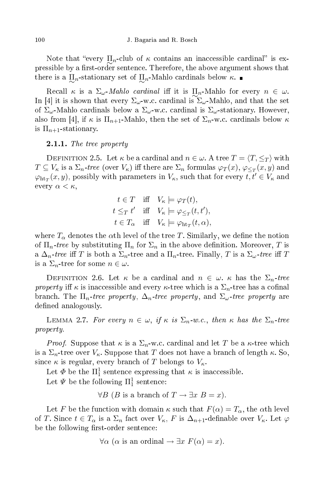Note that "every  $\prod_n$ -club of  $\kappa$  contains an inaccessible cardinal" is ex-<br>wible by a first and propriational Therefore, the above argument above that pressible by a first-order sentence. Therefore, the above argument shows that there is a  $\Pi_n$ -stationary set of  $\Pi_n$ -Mahlo cardinals below  $\kappa$ .

Recall  $\kappa$  is a  $\Sigma_{\omega}$ -Mahlo cardinal iff it is  $\Pi_n$ -Mahlo for every  $n \in \omega$ .<br>Al it is above that every  $\Sigma$  we a saminal in  $\Sigma$ . Mable and that the set In [4] it is shown that every  $\Sigma_{\omega}$ -w.c. cardinal is  $\Sigma_{\omega}$ -Mahlo, and that the set of  $\Sigma_{\omega}$ -Mahlo cardinals below a  $\Sigma_{\omega}$ -w.c. cardinal is  $\Sigma_{\omega}$ -stationary. However, also from [4], if  $\kappa$  is  $\Pi_{n+1}$ -Mahlo, then the set of  $\Sigma_n$ -w.c. cardinals below  $\kappa$ is  $\Pi_{n+1}$ -stationary.

#### The tree property and the tree property of the tree property of the tree property of the tree property of the tree property of the tree property of the tree property of the tree property of the tree property of the tree pr

DEFINITION 2.5. Let  $\kappa$  be a cardinal and  $n \in \omega$ . A tree  $T = \langle T, \leq_T \rangle$  with  $T\subseteq V_\kappa$  is a  $\Sigma_n$ -tree (over  $V_\kappa)$  iff there are  $\Sigma_n$  formulas  $\varphi_T(x),\,\varphi_{\leq_T}(x,y)$  and  $\varphi_{\text{ht}_T}(x, y)$ , possibly with parameters in  $V_{\kappa}$ , such that for every  $\overline{t}, t' \in V_{\kappa}$  and every  $\alpha < \kappa$ ,

$$
t \in T \quad \text{iff} \quad V_{\kappa} \models \varphi_T(t),
$$
  
\n
$$
t \leq_T t' \quad \text{iff} \quad V_{\kappa} \models \varphi_{\leq_T}(t, t'),
$$
  
\n
$$
t \in T_{\alpha} \quad \text{iff} \quad V_{\kappa} \models \varphi_{\text{htr}_T}(t, \alpha),
$$

where  $T_{\alpha}$  denotes the  $\alpha$ th level of the tree T. Similarly, we define the notion of  $\Pi_n$ -tree by substituting  $\Pi_n$  for  $\Sigma_n$  in the above definition. Moreover, T is a  $\Delta_n$ -tree iff  $T$  is both a  $\Sigma_n$ -tree and a  $\Pi_n$ -tree. Finally,  $T$  is a  $\Sigma_\omega$ -tree iff  $T$ is a  $\Sigma_n$ -tree for some  $n \in \omega$ .

DEFINITION 2.6. Let  $\kappa$  be a cardinal and  $n \in \omega$ .  $\kappa$  has the  $\Sigma_n$ -tree property iff  $\kappa$  is inaccessible and every  $\kappa$ -tree which is a  $\Sigma_n$ -tree has a cofinal branch. The  $\Pi_n$ -tree property,  $\Delta_n$ -tree property, and  $\Sigma_{\omega}$ -tree property are defined analogously.

LEMMA 2.7. For every  $n \in \omega$ , if  $\kappa$  is  $\Sigma_n$ -w.c., then  $\kappa$  has the  $\Sigma_n$ -tree property.

*Proof.* Suppose that  $\kappa$  is a  $\Sigma_n$ -w.c. cardinal and let T be a  $\kappa$ -tree which is a  $\Sigma_n$ -tree over  $V_\kappa$ . Suppose that T does not have a branch of length  $\kappa$ . So, since  $\kappa$  is regular, every branch of T belongs to  $V_{\kappa}$ .

Let  $\Phi$  be the  $\Pi_1^1$  sentence expressing that  $\kappa$  is inaccessible.

Let  $\Psi$  be the following  $\Pi^1_1$  sentence:

 $\forall B \ (B \text{ is a branch of } T \rightarrow \exists x \ B = x).$ 

Let F be the function with domain  $\kappa$  such that  $F(\alpha) = T_{\alpha}$ , the  $\alpha$ th level of T. Since  $t \in T_\alpha$  is a  $\Sigma_n$  fact over  $V_\kappa$ , F is  $\Delta_{n+1}$ -definable over  $V_\kappa$ . Let  $\varphi$ be the following first-order sentence:

$$
\forall \alpha \ (\alpha \text{ is an ordinal} \rightarrow \exists x \ F(\alpha) = x).
$$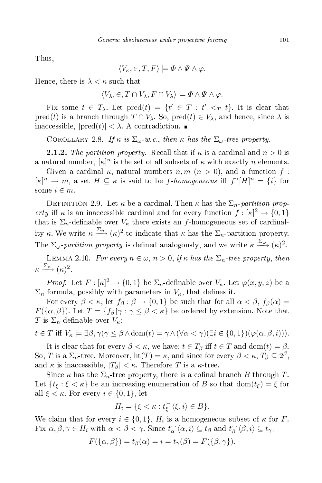Thus,

$$
\langle V_\kappa, \in, T, F \rangle \models \varPhi \land \varPsi \land \varphi.
$$

Hence, there is  $\lambda < \kappa$  such that

$$
\langle V_{\lambda}, \in, T \cap V_{\lambda}, F \cap V_{\lambda} \rangle \models \varPhi \land \varPsi \land \varphi.
$$

Fix some  $t \in T_\lambda$ . Let  $\text{pred}(t) = \{t' \in T : t' <_T t\}$ . It is clear that pred(t) is a branch through  $T \cap V_\lambda$ . So, pred(t)  $\in V_\lambda$ , and hence, since  $\lambda$  is inaccessible,  $|pred(t)| < \lambda$ . A contradiction.

COROLLARY 2.8. If  $\kappa$  is  $\Sigma_{\omega}$ -w.c., then  $\kappa$  has the  $\Sigma_{\omega}$ -tree property.

**2.1.2.** The partition property. Recall that if  $\kappa$  is a cardinal and  $n > 0$  is a natural number,  $[\kappa]^n$  is the set of all subsets of  $\kappa$  with exactly n elements.

Given a cardinal  $\kappa$ , natural numbers  $n, m$   $(n > 0)$ , and a function  $f$ :  $[\kappa]^n \to m$ , a set  $H \subseteq \kappa$  is said to be f-homogeneous iff  $f''[H]^n = \{i\}$  for some  $i \in m$ .

DEFINITION 2.9. Let  $\kappa$  be a cardinal. Then  $\kappa$  has the  $\Sigma_n$ -partition property iff  $\kappa$  is an inaccessible cardinal and for every function  $f : [\kappa]^2 \to \{0,1\}$ that is  $\Sigma_n$ -definable over  $V_\kappa$  there exists an f-homogeneous set of cardinality  $\kappa$ . We write  $\kappa \xrightarrow{\Sigma_n} (\kappa)^2$  to indicate that  $\kappa$  has the  $\Sigma_n$ -partition property. The  $\Sigma_{\omega}$ -partition property is defined analogously, and we write  $\kappa \xrightarrow{\Sigma_{\omega}} (\kappa)^2$ .

LEMMA 2.10. For every  $n \in \omega$ ,  $n > 0$ , if  $\kappa$  has the  $\Sigma_n$ -tree property, then  $\kappa \stackrel{\Sigma_n}{\longrightarrow} (\kappa)^2.$ 

*Proof.* Let  $F : [\kappa]^2 \to \{0,1\}$  be  $\Sigma_n$ -definable over  $V_\kappa$ . Let  $\varphi(x,y,z)$  be a  $\Sigma_n$  formula, possibly with parameters in  $V_{\kappa}$ , that defines it.

For every  $\beta < \kappa$ , let  $f_{\beta} : \beta \to \{0,1\}$  be such that for all  $\alpha < \beta$ ,  $f_{\beta}(\alpha) =$  $F({\alpha,\beta})$ . Let  $T = {f_{\beta} {\upharpoonright} \gamma : \gamma \leq \beta < \kappa}$  be ordered by extension. Note that T is  $\Sigma_n$ -definable over  $V_\kappa$ :

$$
t \in T \text{ iff } V_{\kappa} \models \exists \beta, \gamma(\gamma \leq \beta \land \text{dom}(t) = \gamma \land (\forall \alpha < \gamma)(\exists i \in \{0, 1\})(\varphi(\alpha, \beta, i))).
$$

It is clear that for every  $\beta < \kappa$ , we have:  $t \in T_\beta$  iff  $t \in T$  and  $dom(t) = \beta$ . So, T is a  $\Sigma_n$ -tree. Moreover,  $\text{ht}(T) = \kappa$ , and since for every  $\beta < \kappa$ ,  $T_\beta \subseteq 2^\beta$ , and  $\kappa$  is inaccessible,  $|T_{\beta}| < \kappa$ . Therefore T is a  $\kappa$ -tree.

Since  $\kappa$  has the  $\Sigma_n$ -tree property, there is a cofinal branch B through T. Let  $\{t_{\xi} : \xi < \kappa\}$  be an increasing enumeration of B so that  $dom(t_{\xi}) = \xi$  for all  $\xi < \kappa$ . For every  $i \in \{0, 1\}$ , let

$$
H_i = \{ \xi < \kappa : t_\xi^{\frown} \langle \xi, i \rangle \in B \}.
$$

We claim that for every  $i \in \{0,1\}$ ,  $H_i$  is a homogeneous subset of  $\kappa$  for  $F$ . Fix  $\alpha, \beta, \gamma \in H_i$  with  $\alpha < \beta < \gamma$ . Since  $t_{\alpha}^{\frown}\langle \alpha, i \rangle \subseteq t_{\beta}$  and  $t_{\beta}^{\frown}\langle \beta, i \rangle \subseteq t_{\gamma}$ ,

$$
F(\{\alpha,\beta\}) = t_{\beta}(\alpha) = i = t_{\gamma}(\beta) = F(\{\beta,\gamma\}).
$$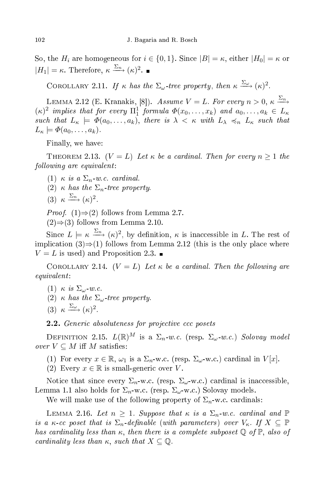So, the  $H_i$  are homogeneous for  $i \in \{0,1\}$ . Since  $|B| = \kappa$ , either  $|H_0| = \kappa$  or  $|H_1| = \kappa$ . Therefore,  $\kappa \xrightarrow{\Sigma_n} (\kappa)^2$ .

COROLLARY 2.11. If  $\kappa$  has the  $\Sigma_{\omega}$ -tree property, then  $\kappa \stackrel{\Sigma_{\omega}}{\longrightarrow} (\kappa)^2$ .

LEMMA 2.12 (E. Kranakis, [8]). *Assume V = L. For every n >* 0,  $\kappa \xrightarrow{\Sigma_n}$  $(\kappa)^2$  implies that for every  $\Pi_1^1$  formula  $\Phi(x_0,\ldots,x_k)$  and  $a_0,\ldots,a_k \in L_\kappa$ such that  $L_{\kappa} \models \Phi(a_0, \ldots, a_k)$ , there is  $\lambda \langle \kappa \rangle$  with  $L_{\lambda} \langle \lambda \rangle$  and  $L_{\kappa}$  such that  $L_{\kappa} \models \Phi(a_0, \ldots, a_k).$ 

Finally, we have:

THEOREM 2.13.  $(V = L)$  Let  $\kappa$  be a cardinal. Then for every  $n \geq 1$  the following are equivalent: fol lowing are equivalent :

- (1)  $\kappa$  is a  $\Sigma_n$ -w.c. cardinal.
- (2)  $\kappa$  has the  $\Sigma_n$ -tree property.
- (3)  $\kappa \xrightarrow{\Sigma_n} (\kappa)^2$

*Proof.* (1) $\Rightarrow$ (2) follows from Lemma 2.7.  $(2)$ ⇒ $(3)$  follows from Lemma 2.10.

Since  $L \models \kappa \stackrel{\Sigma_n}{\longrightarrow} (\kappa)^2$ , by definition,  $\kappa$  is inaccessible in L. The rest of implication  $(3) \Rightarrow (1)$  follows from Lemma 2.12 (this is the only place where  $V = L$  is used) and Proposition 2.3.

COROLLARY 2.14.  $(V = L)$  Let  $\kappa$  be a cardinal. Then the following are equivalent:

- (1)  $\kappa$  is  $\Sigma_{\omega}$ -w.c.
- (2)  $\kappa$  has the  $\Sigma_{\omega}$ -tree property.
- (3)  $\kappa \xrightarrow{\Sigma_{\omega}} (\kappa)^2$

2.2. Generi absoluteness for proje
tive posets

DEFINITION 2.15.  $L(\mathbb{R})^M$  is a  $\Sigma_n$ -w.c. (resp.  $\Sigma_\omega$ -w.c.) Solovay model over  $V \subseteq M$  iff M satisfies:

(1) For every  $x \in \mathbb{R}$ ,  $\omega_1$  is a  $\Sigma_n$ -w.c. (resp.  $\Sigma_{\omega}$ -w.c.) cardinal in  $V[x]$ .

(2) Every  $x \in \mathbb{R}$  is small-generic over V.

Notice that since every  $\Sigma_n$  w.c. (resp.  $\Sigma_{\omega}$  w.c.) cardinal is inaccessible, Lemma 1.1 also holds for  $\Sigma_n$ -w.c. (resp.  $\Sigma_\omega$ -w.c.) Solovay models.

We will make use of the following property of  $\Sigma_n$ -w.c. cardinals:

LEMMA 2.16. Let  $n \geq 1$ . Suppose that  $\kappa$  is a  $\Sigma_n$ -w.c. cardinal and  $\mathbb P$ is a  $\kappa$ -cc poset that is  $\Sigma_n$ -definable (with parameters) over  $V_\kappa$ . If  $X \subseteq \mathbb{P}$ has cardinality less than  $\kappa$ , then there is a complete subposet Q of  $\mathbb{P}$ , also of cardinality less than  $\kappa$ , such that  $X \subseteq \mathbb{Q}$ .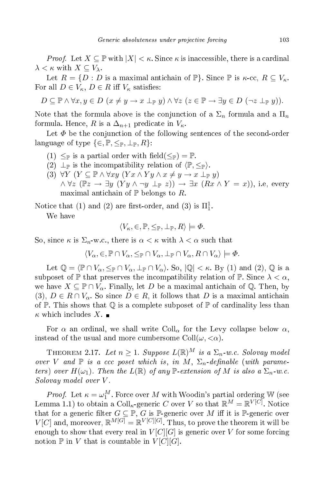*Proof.* Let  $X \subseteq \mathbb{P}$  with  $|X| < \kappa$ . Since  $\kappa$  is inaccessible, there is a cardinal  $\lambda < \kappa$  with  $X \subseteq V_{\lambda}$ .

Let  $R = \{D : D$  is a maximal antichain of  $\mathbb{P}\}$ . Since  $\mathbb{P}$  is  $\kappa$ -cc,  $R \subseteq V_{\kappa}$ . For all  $D \in V_{\kappa}$ ,  $D \in R$  iff  $V_{\kappa}$  satisfies:

$$
D \subseteq \mathbb{P} \land \forall x, y \in D \ (x \neq y \rightarrow x \perp_{\mathbb{P}} y) \land \forall z \ (z \in \mathbb{P} \rightarrow \exists y \in D \ (\neg z \perp_{\mathbb{P}} y)).
$$

Note that the formula above is the conjunction of a  $\Sigma_n$  formula and a  $\Pi_n$ formula. Hence, R is a  $\Delta_{n+1}$  predicate in  $V_{\kappa}$ .

Let  $\Phi$  be the conjunction of the following sentences of the second-order language of type  $\{\in, \mathbb{P}, \leq_{\mathbb{P}}, \perp_{\mathbb{P}}, R\}$ :

- (1)  $\leq_{\mathbb{P}}$  is a partial order with field( $\leq_{\mathbb{P}}$ ) =  $\mathbb{P}$ .
- (2)  $\perp_{\mathbb{P}}$  is the incompatibility relation of  $\langle \mathbb{P}, \leq_{\mathbb{P}} \rangle$ .
- (3)  $\forall Y \ (Y \subseteq \mathbb{P} \land \forall xy \ (Yx \land Yy \land x \neq y \rightarrow x \perp_{\mathbb{P}} y)$  $\wedge \forall z \ (\mathbb{P}z \to \exists y \ (Yy \wedge \neg y \perp_{\mathbb{P}} z)) \to \exists x \ (Rx \wedge Y = x)$ ), i.e, every maximal antichain of  $\mathbb P$  belongs to R.

Notice that (1) and (2) are first-order, and (3) is  $\Pi_1^1$ .

We have

$$
\langle V_{\kappa}, \in, \mathbb{P}, \leq_{\mathbb{P}}, \perp_{\mathbb{P}}, R \rangle \models \varPhi.
$$

So, since  $\kappa$  is  $\Sigma_n$  w.c., there is  $\alpha < \kappa$  with  $\lambda < \alpha$  such that

$$
\langle V_{\alpha}, \in, \mathbb{P} \cap V_{\alpha}, \leq_{\mathbb{P}} \cap V_{\alpha}, \perp_{\mathbb{P}} \cap V_{\alpha}, R \cap V_{\alpha} \rangle \models \varPhi.
$$

Let  $\mathbb{Q} = \langle \mathbb{P} \cap V_{\alpha}, \leq_{\mathbb{P}} \cap V_{\alpha}, \perp_{\mathbb{P}} \cap V_{\alpha} \rangle$ . So,  $|\mathbb{Q}| < \kappa$ . By (1) and (2),  $\mathbb{Q}$  is a subposet of  $\mathbb P$  that preserves the incompatibility relation of  $\mathbb P$ . Since  $\lambda < \alpha$ , we have  $X \subseteq \mathbb{P} \cap V_{\alpha}$ . Finally, let D be a maximal antichain of Q. Then, by (3),  $D \in R \cap V_{\alpha}$ . So since  $D \in R$ , it follows that D is a maximal antichain of  $\mathbb P$ . This shows that  $\mathbb Q$  is a complete subposet of  $\mathbb P$  of cardinality less than  $\kappa$  which includes X.  $\blacksquare$ 

For  $\alpha$  an ordinal, we shall write Coll<sub> $\alpha$ </sub> for the Levy collapse below  $\alpha$ , instead of the usual and more cumbersome  $Coll(\omega, < \alpha)$ .

THEOREM 2.17. Let  $n \geq 1$ . Suppose  $L(\mathbb{R})^M$  is a  $\Sigma_n$ -w.c. Solovay model over V and  $\mathbb P$  is a ccc poset which is, in M,  $\Sigma_n$ -definable (with parameters) over  $H(\omega_1)$ . Then the  $L(\mathbb{R})$  of any  $\mathbb{P}\text{-}extension$  of M is also a  $\Sigma_n$ -w.c. Solovay model over V .

*Proof.* Let  $\kappa = \omega_1^M$ . Force over M with Woodin's partial ordering W (see Lemma 1.1) to obtain a  $\mathrm{Coll}_{\kappa}$ -generic C over V so that  $\mathbb{R}^M = \mathbb{R}^{V[C]}$ . Notice that for a generic filter  $G \subseteq \mathbb{P}$ , G is P-generic over M iff it is P-generic over  $V[C]$  and, moreover,  $\mathbb{R}^{M[G]} = \mathbb{R}^{V[C][G]}$ . Thus, to prove the theorem it will be enough to show that every real in  $V[C][G]$  is generic over V for some forcing notion  $\mathbb P$  in V that is countable in  $V[C][G]$ .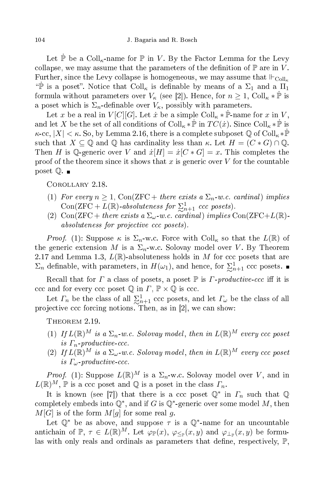Let  $\dot{\mathbb{P}}$  be a Coll<sub>k</sub>-name for  $\mathbb P$  in V. By the Factor Lemma for the Levy collapse, we may assume that the parameters of the definition of  $\mathbb P$  are in V. Further, since the Levy collapse is homogeneous, we may assume that  $\mathbb{F}_{\text{Coll}}$ . "P is a poset". Notice that  $Coll_{\kappa}$  is definable by means of a  $\Sigma_1$  and a  $\overline{II_1}$ formula without parameters over  $V_{\kappa}$  (see [2]). Hence, for  $n \geq 1$ , Coll<sub> $\kappa * \dot{P}$ </sub> is a poset which is  $\Sigma_n$ -definable over  $V_\kappa$ , possibly with parameters.

Let x be a real in  $V[C][G]$ . Let  $\dot{x}$  be a simple  $Coll_{\kappa} * \dot{\mathbb{P}}$ -name for  $x$  in  $V$ , and let X be the set of all conditions of  $Coll_{\kappa} * \dot{\mathbb{P}}$  in  $TC(\dot{x})$ . Since  $Coll_{\kappa} * \dot{\mathbb{P}}$  is  $\kappa$ -cc,  $|X| < \kappa$ . So, by Lemma 2.16, there is a complete subposet Q of Coll $\kappa * \mathbb{P}$ such that  $X \subseteq \mathbb{Q}$  and  $\mathbb{Q}$  has cardinality less than  $\kappa$ . Let  $H = (C * G) \cap \mathbb{Q}$ . Then H is Q-generic over V and  $\dot{x}[H] = \dot{x}[C * G] = x$ . This completes the proof of the theorem since it shows that x is generic over  $V$  for the countable poset  $\mathbb{Q}$ .

Corollary 2.18.

- (1) For every  $n \geq 1$ , Con(ZFC + there exists a  $\Sigma_n$ -w.c. cardinal) implies  $Con(ZFC + L(\mathbb{R})$ -absoluteness for  $\Sigma_{n+1}^1$  ccc posets).<br>Con(ZEC + them exists e  $\Sigma$  = we examined) implies 6
- (2) Con(ZFC + there exists a  $\Sigma_{\omega}$ -w.c. cardinal) implies Con(ZFC+L(R)absoluteness for projective ccc posets).

*Proof.* (1): Suppose  $\kappa$  is  $\Sigma_n$ -w.c. Force with  $\text{Coll}_{\kappa}$  so that the  $L(\mathbb{R})$  of the generic extension M is a  $\Sigma_n$ -w.c. Solovay model over V. By Theorem 2.17 and Lemma 1.3,  $L(\mathbb{R})$ -absoluteness holds in M for ccc posets that are  $\Sigma_n$  definable, with parameters, in  $H(\omega_1)$ , and hence, for  $\sum_{n=1}^{1}$  ccc posets.

Recall that for  $\Gamma$  a class of posets, a poset  $\mathbb P$  is  $\Gamma$ -productive-ccc iff it is ccc and for every ccc poset  $\mathbb Q$  in  $\Gamma$ ,  $\mathbb P \times \mathbb Q$  is ccc.

Let  $\Gamma_n$  be the class of all  $\Sigma_{\sim n+1}^1$  ccc posets, and let  $\Gamma_{\omega}$  be the class of all intime are foreign poting  $\Sigma_{\sim n+1}^1$ projective ccc forcing notions. Then, as in  $[2]$ , we can show:

Theorem 2.19.

- (1) If  $L(\mathbb{R})^M$  is a  $\Sigma_n$ -w.c. Solovay model, then in  $L(\mathbb{R})^M$  every ccc poset is  $\Gamma_n$ -productive-ccc.
- (2) If  $L(\mathbb{R})^M$  is a  $\Sigma_{\omega}$ -w.c. Solovay model, then in  $L(\mathbb{R})^M$  every ccc poset is  $\Gamma_{\omega}$ -productive-ccc.

*Proof.* (1): Suppose  $L(\mathbb{R})^M$  is a  $\Sigma_n$ -w.c. Solovay model over V, and in  $L(\mathbb{R})^M$ ,  $\mathbb P$  is a ccc poset and  $\mathbb Q$  is a poset in the class  $\Gamma_n$ .

It is known (see [7]) that there is a ccc poset  $\mathbb{Q}^*$  in  $\Gamma_n$  such that  $\mathbb Q$ completely embeds into  $\mathbb{Q}^*$ , and if G is  $\mathbb{Q}^*$ -generic over some model M, then  $M[G]$  is of the form  $M[g]$  for some real g.

Let  $\mathbb{Q}^*$  be as above, and suppose  $\tau$  is a  $\mathbb{Q}^*$ -name for an uncountable antichain of  $\mathbb{P}, \tau \in L(\mathbb{R})^M$ . Let  $\varphi_{\mathbb{P}}(x), \varphi_{\leq_{\mathbb{P}}}(x, y)$  and  $\varphi_{\perp_{\mathbb{P}}}(x, y)$  be formulas with only reals and ordinals as parameters that define, respectively,  $\mathbb{P}$ ,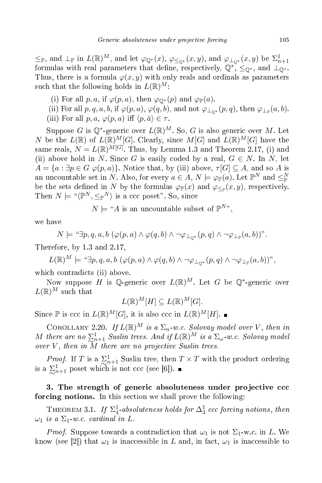$\leq_{\mathbb{P}}$ , and  $\perp_{\mathbb{P}}$  in  $L(\mathbb{R})^M$ , and let  $\varphi_{\mathbb{Q}^*}(x), \varphi_{\leq_{\mathbb{Q}^*}}(x, y)$ , and  $\varphi_{\perp_{\mathbb{Q}^*}}(x, y)$  be  $\Sigma^1_{n+1}$ formulas with real parameters that define, respectively,  $\mathbb{Q}^*, \leq_{\mathbb{Q}^*}$ , and  $\bot_{\mathbb{Q}^*}$ . Thus, there is a formula  $\varphi(x, y)$  with only reals and ordinals as parameters such that the following holds in  $L(\mathbb{R})^M$ :

- (i) For all p, a, if  $\varphi(p, a)$ , then  $\varphi_{\mathbb{Q}^*}(p)$  and  $\varphi_{\mathbb{P}}(a)$ .
- (ii) For all  $p, q, a, b$ , if  $\varphi(p, a)$ ,  $\varphi(q, b)$ , and not  $\varphi_{\perp_{\mathbb{Q}^*}}(p, q)$ , then  $\varphi_{\perp_{\mathbb{P}}}(a, b)$ .
- (iii) For all  $p, a, \varphi(p, a)$  iff  $\langle p, \check{a} \rangle \in \tau$ .

Suppose  $G$  is  $\mathbb{Q}^*$ -generic over  $L(\mathbb{R})^M$ . So,  $G$  is also generic over  $M$ . Let N be the  $L(\mathbb{R})$  of  $L(\mathbb{R})^M[G]$ . Clearly, since  $M[G]$  and  $L(\mathbb{R})^M[G]$  have the same reals,  $N = L(\mathbb{R})^{M[G]}$ . Thus, by Lemma 1.3 and Theorem 2.17, (i) and (ii) above hold in N. Since G is easily coded by a real,  $G \in N$ . In N, let  $A = \{a : \exists p \in G \; \varphi(p, a)\}.$  Notice that, by (iii) above,  $\tau[G] \subseteq A$ , and so A is an uncountable set in N. Also, for every  $a \in A$ ,  $N \models \varphi_{\mathbb{P}}(a)$ . Let  $\mathbb{P}^N$  and  $\leq^N_{\mathbb{P}}$ be the sets defined in N by the formulas  $\varphi_{\mathbb{P}}(x)$  and  $\varphi_{\leq_{\mathbb{P}}}(x, y)$ , respectively. Then  $N \models " \langle \mathbb{P}^N, \leq_{\mathbb{P}} N \rangle$  is a ccc poset". So, since

 $N \models "A$  is an uncountable subset of  $\mathbb{P}^{N}$ ",

we have

$$
N \models \text{``}\exists p,q,a,b \; (\varphi(p,a) \land \varphi(q,b) \land \neg \varphi_{\perp_{\mathbb{Q}^*}}(p,q) \land \neg \varphi_{\perp_{\mathbb{P}}}(a,b))".
$$

Therefore, by 1.3 and 2.17,

$$
L(\mathbb{R})^M \models \text{``}\exists p, q, a, b \ (\varphi(p, a) \land \varphi(q, b) \land \neg \varphi_{\perp_{\mathbb{Q}}^*}(p, q) \land \neg \varphi_{\perp_{\mathbb{P}}}(a, b))"
$$

which contradicts (ii) above.

Now suppose H is Q-generic over  $L(\mathbb{R})^M$ . Let G be Q\*-generic over  $L(\mathbb{R})^M$  such that

$$
L(\mathbb{R})^M[H] \subseteq L(\mathbb{R})^M[G].
$$

Since  $\mathbb P$  is ccc in  $L(\mathbb R)^M[G]$ , it is also ccc in  $L(\mathbb R)^M[H]$ .

COROLLARY 2.20. If  $L(\mathbb{R})^M$  is a  $\Sigma_n$ -w.c. Solovay model over V, then in M there are no  $\Sigma_{n+1}^1$  Suslin trees. And if  $L(\mathbb{R})^M$  is a  $\Sigma_{\omega}$ -w.c. Solovay model over V, then in  $\widetilde{M}$  there are no projective Suslin trees.

*Proof.* If T is a  $\sum_{n=1}^{1}$  Suslin tree, then  $T \times T$  with the product ordering is a  $\sum_{n=1}^{\infty}$  poset which is not ccc (see [6]).

# 3. The strength of generi absoluteness under pro je
tive for
ing notions. In this se
tion we shall prove the following:

THEOREM 3.1. If  $\Sigma^1_4$ -absoluteness holds for  $\Delta^1_3$  ccc forcing notions, then  $\omega_1$  is a  $\Sigma_1$ -w.c. cardinal in L.

*Proof.* Suppose towards a contradiction that  $\omega_1$  is not  $\Sigma_1$ -w.c. in L. We know (see [2]) that  $\omega_1$  is inaccessible in L and, in fact,  $\omega_1$  is inaccessible to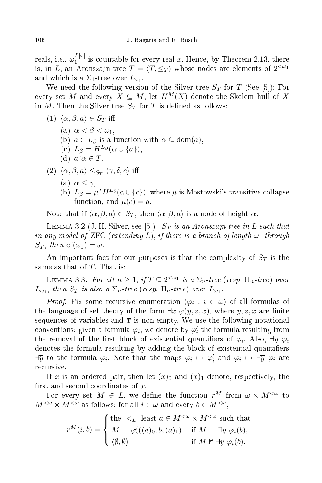reals, i.e.,  $\omega_1^{L[x]}$  $\frac{L[x]}{1}$  is countable for every real x. Hence, by Theorem 2.13, there is, in L, an Aronszajn tree  $T = \langle T, \leq_T \rangle$  whose nodes are elements of  $2^{<\omega_1}$ and which is a  $\Sigma_1$ -tree over  $L_{\omega_1}$ .

We need the following version of the Silver tree  $S_T$  for T (See [5]): For every set M and every  $X \subseteq M$ , let  $H^M(X)$  denote the Skolem hull of X in M. Then the Silver tree  $S_T$  for T is defined as follows:

(1)  $\langle \alpha, \beta, a \rangle \in S_T$  iff (a)  $\alpha < \beta < \omega_1$ , (b)  $a \in L_\beta$  is a function with  $\alpha \subseteq \text{dom}(a)$ , (c)  $L_{\beta} = H^{L_{\beta}}(\alpha \cup \{a\}),$ (d)  $a \upharpoonright \alpha \in T$ .  $(2) \langle \alpha, \beta, a \rangle \leq_{S_T} \langle \gamma, \delta, c \rangle$  iff (a)  $\alpha \leq \gamma$ , (b)  $L_{\beta} = \mu^{\gamma} H^{L_{\delta}}(\alpha \cup \{c\})$ , where  $\mu$  is Mostowski's transitive collapse

function, and 
$$
\mu(c) = a
$$
.

Note that if  $\langle \alpha, \beta, a \rangle \in S_T$ , then  $\langle \alpha, \beta, a \rangle$  is a node of height  $\alpha$ .

LEMMA 3.2 (J. H. Silver, see [5]).  $S_T$  is an Aronszajn tree in L such that in any model of ZFC (extending L), if there is a branch of length  $\omega_1$  through  $S_T$ , then  $cf(\omega_1) = \omega$ .

An important fact for our purposes is that the complexity of  $S_T$  is the same as that of  $T$ . That is:

LEMMA 3.3. For all  $n \geq 1$ , if  $T \subseteq 2^{<\omega_1}$  is a  $\Sigma_n$ -tree (resp.  $\Pi_n$ -tree) over  $L_{\omega_1},$  then  $S_T$  is also a  $\Sigma_n$ -tree (resp.  $\Pi_n$ -tree) over  $L_{\omega_1}.$ 

*Proof.* Fix some recursive enumeration  $\langle \varphi_i : i \in \omega \rangle$  of all formulas of the language of set theory of the form  $\exists \overline{x} \varphi(\overline{y}, \overline{z}, \overline{x})$ , where  $\overline{y}, \overline{z}, \overline{x}$  are finite sequences of variables and  $\bar{x}$  is non-empty. We use the following notational conventions: given a formula  $\varphi_i$ , we denote by  $\varphi'_i$  the formula resulting from the removal of the first block of existential quantifiers of  $\varphi_i$ . Also,  $\exists \overline{y}$   $\varphi_i$ denotes the formula resulting by adding the block of existential quantifiers  $\exists \overline{y}$  to the formula  $\varphi_i$ . Note that the maps  $\varphi_i \mapsto \varphi'_i$  and  $\varphi_i \mapsto \exists \overline{y}$   $\varphi_i$  are recursive.

If x is an ordered pair, then let  $(x)_0$  and  $(x)_1$  denote, respectively, the first and second coordinates of  $x$ .

For every set  $M \in L$ , we define the function  $r^M$  from  $\omega \times M^{\leq \omega}$  to  $M^{<\omega} \times M^{<\omega}$  as follows: for all  $i \in \omega$  and every  $b \in M^{<\omega}$ ,

$$
r^M(i,b) = \begin{cases} \text{the } <_L \text{-least } a \in M^{<\omega} \times M^{<\omega} \text{ such that} \\ M \models \varphi'_i((a)_0, b, (a)_1) & \text{if } M \models \exists y \ \varphi_i(b), \\ \langle \emptyset, \emptyset \rangle & \text{if } M \not\models \exists y \ \varphi_i(b). \end{cases}
$$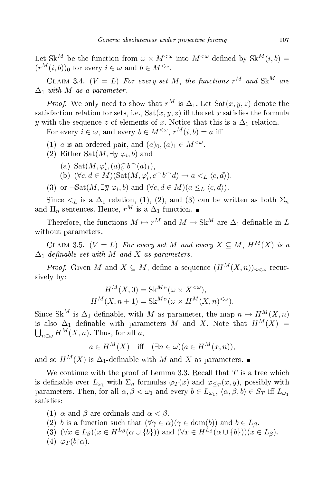Let Sk<sup>M</sup> be the function from  $\omega \times M^{\langle \omega \rangle}$  into  $M^{\langle \omega \rangle}$  defined by Sk<sup>M</sup> $(i, b)$  =  $(r^M(i, b))_0$  for every  $i \in \omega$  and  $b \in M^{<\omega}$ .

CLAIM 3.4.  $(V = L)$  For every set M, the functions  $r^M$  and  $Sk^M$  are  $\Delta_1$  with M as a parameter.

*Proof.* We only need to show that  $r^M$  is  $\Delta_1$ . Let  $Sat(x, y, z)$  denote the satisfaction relation for sets, i.e.,  $Sat(x, y, z)$  iff the set x satisfies the formula y with the sequence z of elements of x. Notice that this is a  $\Delta_1$  relation.

For every  $i \in \omega$ , and every  $b \in M^{<\omega}$ ,  $r^M(i, b) = a$  iff

- (1) *a* is an ordered pair, and  $(a)_0, (a)_1 \in M^{<\omega}$ .
- (2) Either Sat $(M, \exists y \varphi_i, b)$  and
	- (a) Sat $(M, \varphi'_i, (a) \widehat{\phantom{\alpha}}_0 b^\frown (a)_1),$
	- (b)  $(\forall c, d \in M)(\text{Sat}(M, \varphi_i', c \cap b \cap d) \to a <_L \langle c, d \rangle),$
- (3) or  $\neg \text{Sat}(M, \exists \overline{y} \varphi_i, b)$  and  $(\forall c, d \in M)(a \leq_L \langle c, d \rangle)$ .

Since  $\leq_L$  is a  $\Delta_1$  relation, (1), (2), and (3) can be written as both  $\Sigma_n$ and  $\Pi_n$  sentences. Hence,  $r^M$  is a  $\Delta_1$  function.

Therefore, the functions  $M \mapsto r^M$  and  $M \mapsto \text{Sk}^M$  are  $\Delta_1$  definable in L without parameters.

CLAIM 3.5.  $(V = L)$  For every set M and every  $X \subseteq M$ ,  $H^M(X)$  is a  $\Delta_1$  definable set with M and X as parameters.

*Proof.* Given M and  $X \subseteq M$ , define a sequence  $(H^M(X,n))_{n \leq \omega}$  recursively by:

$$
H^M(X,0) = \text{Sk}^{Mn}(\omega \times X^{<\omega}),
$$
  

$$
H^M(X,n+1) = \text{Sk}^{Mn}(\omega \times H^M(X,n)^{<\omega}).
$$

Since Sk<sup>M</sup> is  $\Delta_1$  definable, with M as parameter, the map  $n \mapsto H^M(X,n)$ is also  $\Delta_1$  definable with parameters M and X. Note that  $H^M(X) =$  $\bigcup_{n\in\omega}H^M(X,n).$  Thus, for all a,

$$
a \in H^M(X)
$$
 iff  $(\exists n \in \omega)(a \in H^M(x, n)),$ 

and so  $H^M(X)$  is  $\Delta_1$ -definable with M and X as parameters.

We continue with the proof of Lemma 3.3. Recall that  $T$  is a tree which is definable over  $L_{\omega_1}$  with  $\Sigma_n$  formulas  $\varphi_T(x)$  and  $\varphi_{\leq_T}(x,y)$ , possibly with parameters. Then, for all  $\alpha, \beta < \omega_1$  and every  $b \in L_{\omega_1}, \, \langle \alpha, \beta, b \rangle \in S_T$  iff  $L_{\omega_1}$ satisfies:

- (1)  $\alpha$  and  $\beta$  are ordinals and  $\alpha < \beta$ .
- (2) b is a function such that  $(\forall \gamma \in \alpha)(\gamma \in \text{dom}(b))$  and  $b \in L_{\beta}$ .
- (3)  $(\forall x \in L_{\beta})(x \in H^{L_{\beta}}(\alpha \cup \{b\}))$  and  $(\forall x \in H^{L_{\beta}}(\alpha \cup \{b\}))(x \in L_{\beta}).$
- (4)  $\varphi_T(b\upharpoonright\alpha)$ .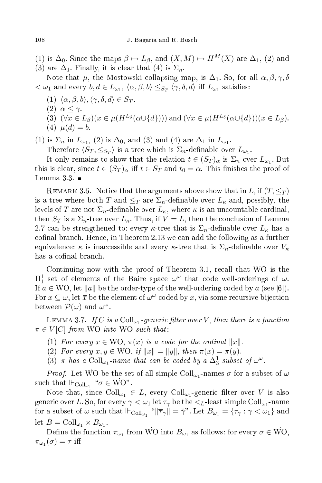(1) is  $\Delta_0$ . Since the maps  $\beta \mapsto L_{\beta}$ , and  $(X, M) \mapsto H^M(X)$  are  $\Delta_1$ , (2) and (3) are  $\Delta_1$ . Finally, it is clear that (4) is  $\Sigma_n$ .

Note that  $\mu$ , the Mostowski collapsing map, is  $\Delta_1$ . So, for all  $\alpha, \beta, \gamma, \delta$  $\langle \omega_1 \rangle$  and every  $b, d \in L_{\omega_1}, \langle \alpha, \beta, b \rangle \leq_{S_T} \langle \gamma, \delta, d \rangle$  iff  $L_{\omega_1}$  satisfies:

- (1)  $\langle \alpha, \beta, b \rangle$ ,  $\langle \gamma, \delta, d \rangle \in S_T$ .
- (2)  $\alpha < \gamma$ .
- (3)  $(\forall x \in L_{\beta})(x \in \mu(H^{L_{\delta}}(\alpha \cup \{d\})))$  and  $(\forall x \in \mu(H^{L_{\delta}}(\alpha \cup \{d\}))(x \in L_{\beta}).$ (4)  $\mu(d) = b$ .

(1) is  $\Sigma_n$  in  $L_{\omega_1}$ , (2) is  $\Delta_0$ , and (3) and (4) are  $\Delta_1$  in  $L_{\omega_1}$ .

Therefore  $\langle S_T, \leq_{S_T} \rangle$  is a tree which is  $\Sigma_n$ -definable over  $L_{\omega_1}$ .

It only remains to show that the relation  $t \in (S_T)_{\alpha}$  is  $\Sigma_n$  over  $L_{\omega_1}$ . But this is clear, since  $t \in (S_T)_{\alpha}$  iff  $t \in S_T$  and  $t_0 = \alpha$ . This finishes the proof of Lemma 3.3.  $\blacksquare$ 

REMARK 3.6. Notice that the arguments above show that in L, if  $(T, \leq_T)$ is a tree where both T and  $\leq_T$  are  $\Sigma_n$ -definable over  $L_{\kappa}$  and, possibly, the levels of T are not  $\Sigma_n$ -definable over  $L_{\kappa}$ , where  $\kappa$  is an uncountable cardinal, then  $S_T$  is a  $\Sigma_n$ -tree over  $L_{\kappa}$ . Thus, if  $V = L$ , then the conclusion of Lemma 2.7 can be strengthened to: every  $\kappa$ -tree that is  $\Sigma_n$ -definable over  $L_{\kappa}$  has a cofinal branch. Hence, in Theorem 2.13 we can add the following as a further equivalence:  $\kappa$  is inaccessible and every  $\kappa$ -tree that is  $\Sigma_n$ -definable over  $V_\kappa$ has a cofinal branch.

Continuing now with the proof of Theorem 3.1, recall that WO is the  $\Pi_1^1$  set of elements of the Baire space  $ω^ω$  that code well-orderings of  $ω$ . If  $a \in WO$ , let  $||a||$  be the order-type of the well-ordering coded by a (see [6]). For  $x \subseteq \omega$ , let  $\overline{x}$  be the element of  $\omega^{\omega}$  coded by x, via some recursive bijection between  $\mathcal{P}(\omega)$  and  $\omega^{\omega}$ .

LEMMA 3.7. If  $C$  is a  $\mathrm{Coll}_{\omega_1}$  -generic filter over  $V,$  then there is a function  $\pi \in V[C]$  from WO into WO such that:

- (1) For every  $x \in \text{WO}, \pi(x)$  is a code for the ordinal  $||x||$ .
- (2) For every  $x, y \in \mathbb{W}$ O, if  $||x|| = ||y||$ , then  $\pi(x) = \pi(y)$ .
- (3)  $\pi$  has a Coll<sub> $\omega_1$ </sub>-name that can be coded by a  $\Delta_3^1$  subset of  $\omega^{\omega}$ .

*Proof.* Let WO be the set of all simple  $Coll_{\omega_1}$ -names  $\sigma$  for a subset of  $\omega$ such that  $\vdash_{\text{Coll}_{\omega_1}} \text{``}\overline{\sigma} \in \text{WO}"$ .

Note that, since  $\mathrm{Coll}_{\omega_1} \in L$ , every  $\mathrm{Coll}_{\omega_1}$ -generic filter over  $V$  is also generic over L. So, for every  $\gamma < \omega_1$  let  $\tau_{\gamma}$  be the  $<_L$ -least simple  $\mathrm{Coll}_{\omega_1}$ -name for a subset of  $\omega$  such that  $\|\vdash_{\text{Coll}_{\omega_1}} \text{``}\|\overline{\tau}_\gamma\| = \breve{\gamma}$ ". Let  $B_{\omega_1} = \{\tau_\gamma : \gamma < \omega_1\}$  and let  $\dot{B} = \text{Coll}_{\omega_1} \times B_{\omega_1}$ .

Define the function  $\pi_{\omega_1}$  from WO into  $B_{\omega_1}$  as follows: for every  $\sigma \in \dot{\text{WO}},$  $\pi_{\omega_1}(\sigma)=\tau$  iff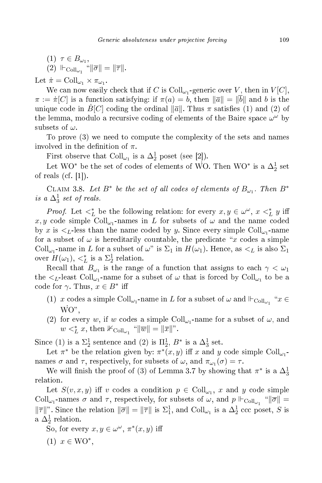$$
\begin{aligned} & (1) \ \ \tau \in B_{\omega_1}, \\ & (2) \ \|\vdash_{\text{Coll}_{\omega_1}} \text{``}\|\overline{\sigma}\| = \|\overline{\tau}\|. \end{aligned}
$$

Let  $\dot{\pi} = \text{Coll}_{\omega_1} \times \pi_{\omega_1}$ .

We can now easily check that if C is  $\mathrm{Coll}_{\omega_1}$ -generic over  $V$ , then in  $V[C]$ ,  $\pi := \pi[C]$  is a function satisfying: if  $\pi(a) = b$ , then  $\|\overline{a}\| = \|\overline{b}\|$  and b is the unique code in  $\dot{B}[C]$  coding the ordinal  $\|\bar{a}\|$ . Thus  $\pi$  satisfies (1) and (2) of the lemma, modulo a recursive coding of elements of the Baire space  $\omega^{\omega}$  by subsets of  $\omega$ .

To prove (3) we need to ompute the omplexity of the sets and names involved in the definition of  $\pi$ .

First observe that  $Coll_{\omega_1}$  is a  $\Delta_2^1$  poset (see [2]).

Let WO<sup>\*</sup> be the set of codes of elements of WO. Then WO<sup>\*</sup> is a  $\Delta^1_2$  set of reals  $(cf. [1])$ .

CLAIM 3.8. Let  $B^*$  be the set of all codes of elements of  $B_{\omega_1}$ . Then  $B^*$ is a  $\Delta_3^1$  set of reals.

*Proof.* Let  $\lt_L^*$  be the following relation: for every  $x, y \in \omega^\omega$ ,  $x \lt_L^* y$  iff  $x, y$  code simple  $\mathrm{Coll}_{\omega_1}$ -names in  $L$  for subsets of  $\omega$  and the name coded by x is  $\lt_L$ -less than the name coded by y. Since every simple  $\text{Coll}_{\omega_1}$ -name for a subset of  $\omega$  is hereditarily countable, the predicate "x codes a simple Coll<sub> $\omega_1$ </sub> name in L for a subset of  $\omega$ " is  $\Sigma_1$  in  $H(\omega_1)$ . Hence, as  $\lt_L$  is also  $\Sigma_1$ over  $H(\omega_1)$ ,  $\lt_L^*$  is a  $\Sigma_2^1$  relation.

Recall that  $B_{\omega_1}$  is the range of a function that assigns to each  $\gamma < \omega_1$ the  $\lt_L$ -least Coll<sub> $\omega_1$ </sub>-name for a subset of  $\omega$  that is forced by Coll<sub> $\omega_1$ </sub> to be a code for  $\gamma$ . Thus,  $x \in B^*$  iff

- (1) x codes a simple  $\text{Coll}_{\omega_1}$ -name in L for a subset of  $\omega$  and  $\mathbb{H}_{\text{Coll}_{\omega_1}}$  " $x \in$  $\dot{W}O$ ".
- (2) for every w, if w codes a simple  $Coll_{\omega_1}$ -name for a subset of  $\omega$ , and  $w <^*_{L} x$ , then  $\mathbb{1}_{\mathrm{Coll}_{\omega_1}}$  " $\|\overline{w}\| = \|\overline{x}\|$ ".

Since (1) is a  $\Sigma_2^1$  sentence and (2) is  $\Pi_2^1$ ,  $B^*$  is a  $\Delta_3^1$  set.

Let  $\pi^*$  be the relation given by:  $\pi^*(x, y)$  iff x and y code simple  $Coll_{\omega_1}$ . names  $\sigma$  and  $\tau$ , respectively, for subsets of  $\omega$ , and  $\pi_{\omega_1}(\sigma) = \tau$ .

We will finish the proof of (3) of Lemma 3.7 by showing that  $\pi^*$  is a  $\Delta_3^1$ relation.

Let  $S(v, x, y)$  iff v codes a condition  $p \in Coll_{\omega_1}$ , x and y code simple Coll<sub> $\omega_1$ </sub>-names  $\sigma$  and  $\tau$ , respectively, for subsets of  $\omega$ , and  $p \Vdash_{\text{Coll}_{\omega_1}} \text{``} \|\overline{\sigma}\|$  =  $\|\overline{\tau}\|$ . Since the relation  $\|\overline{\sigma}\| = \|\overline{\tau}\|$  is  $\Sigma_1^1$ , and  $\text{Coll}_{\omega_1}$  is a  $\Delta_2^1$  ccc poset, S is a  $\Delta^1_2$  relation.

So, for every  $x, y \in \omega^{\omega}, \pi^*(x, y)$  iff

 $(1)$   $x \in \text{WO}^*,$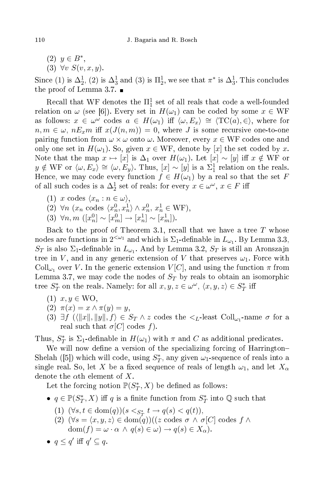(2)  $y ∈ B^*$ , (3)  $\forall v \ S(v, x, y)$ .

Since (1) is  $\Delta_2^1$ , (2) is  $\Delta_3^1$  and (3) is  $\Pi_2^1$ , we see that  $\pi^*$  is  $\Delta_3^1$ . This concludes the proof of Lemma 3.7.

Recall that WF denotes the  $\Pi^1_1$  set of all reals that code a well-founded relation on  $\omega$  (see [6]). Every set in  $H(\omega_1)$  can be coded by some  $x \in WF$ as follows:  $x \in \omega^{\omega}$  codes  $a \in H(\omega_1)$  iff  $\langle \omega, E_x \rangle \cong \langle \text{TC}(a), \in \rangle$ , where for  $n, m \in \omega$ ,  $nE_x m$  iff  $x(J(n,m)) = 0$ , where J is some recursive one-to-one pairing function from  $\omega \times \omega$  onto  $\omega$ . Moreover, every  $x \in WF$  codes one and only one set in  $H(\omega_1)$ . So, given  $x \in WF$ , denote by [x] the set coded by x. Note that the map  $x \mapsto [x]$  is  $\Delta_1$  over  $H(\omega_1)$ . Let  $[x] \sim [y]$  iff  $x \notin \mathbb{W}$  or  $y \notin \text{WF}$  or  $\langle \omega, E_x \rangle \cong \langle \omega, E_y \rangle$ . Thus,  $[x] \sim [y]$  is a  $\Sigma_1^1$  relation on the reals. Hence, we may code every function  $f \in H(\omega_1)$  by a real so that the set F of all such codes is a  $\Delta_2^1$  set of reals: for every  $x \in \omega^\omega$ ,  $x \in F$  iff

- (1)  $x \text{ codes } \langle x_n : n \in \omega \rangle,$
- (2)  $\forall n \ (x_n \text{ codes } \langle x_n^0, x_n^1 \rangle \wedge x_n^0, x_n^1 \in \text{WF} ),$
- (3)  $\forall n, m \ ([x_n^0] \sim [x_m^0] \rightarrow [x_n^1] \sim [x_m^1]).$

Back to the proof of Theorem 3.1, recall that we have a tree  $T$  whose nodes are functions in  $2^{<\omega_1}$  and which is  $\Sigma_1$ -definable in  $L_{\omega_1}$ . By Lemma 3.3,  $S_T$  is also  $\Sigma_1$ -definable in  $L_{\omega_1}.$  And by Lemma 3.2,  $S_T$  is still an Aronszajn tree in V, and in any generic extension of V that preserves  $\omega_1$ . Force with  $\mathrm{Coll}_{\omega_1}$  over V. In the generic extension  $V[C],$  and using the function  $\pi$  from Lemma 3.7, we may code the nodes of  $S_T$  by reals to obtain an isomorphic tree  $S_T^*$  on the reals. Namely: for all  $x, y, z \in \omega^\omega$ ,  $\langle x, y, z \rangle \in S_T^*$  iff

- $(1)$   $x, y \in \text{WO}$ ,
- (2)  $\pi(x) = x \wedge \pi(y) = y$ ,
- (3) ∃f ( $\langle ||x||, ||y||, f \rangle \in S_T \land z$  codes the  $\langle L$ -least Coll<sub>ω1</sub>-name σ for a real such that  $\sigma[C]$  codes f).

Thus,  $S_T^*$  is  $\Sigma_1$ -definable in  $H(\omega_1)$  with  $\pi$  and  $C$  as additional predicates.

We will now define a version of the specializing forcing of Harrington-Shelah ([5]) which will code, using  $S_T^*$ , any given  $\omega_1$ -sequence of reals into a single real. So, let X be a fixed sequence of reals of length  $\omega_1$ , and let  $X_\alpha$ denote the  $\alpha$ th element of X.

Let the forcing notion  $\mathbb{P}(S_T^*, X)$  be defined as follows:

- $q \in \mathbb{P}(S_T^*, X)$  iff q is a finite function from  $S_T^*$  into  $\mathbb Q$  such that
	- (1)  $(∀s, t ∈ dom(q))(s <_{S^*_{T}} t → q(s) < q(t)),$
	- (2)  $(\forall s = \langle x, y, z \rangle \in \text{dom}(q))((z \text{ codes } \sigma \land \sigma[C]) \text{ codes } f \land$  $dom(f) = \omega \cdot \alpha \wedge q(s) \in \omega$ )  $\rightarrow q(s) \in X_\alpha$ ).
- $q \leq q'$  iff  $q' \subseteq q$ .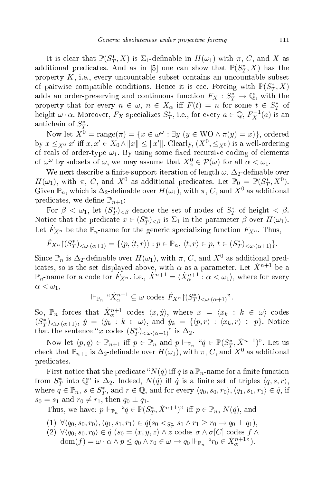It is clear that  $\mathbb{P}(S_T^*, X)$  is  $\Sigma_1$ -definable in  $H(\omega_1)$  with  $\pi$ , C, and X as additional predicates. And as in [5] one can show that  $\mathbb{P}(S_T^*, X)$  has the property  $K$ , i.e., every uncountable subset contains an uncountable subset of pairwise compatible conditions. Hence it is ccc. Forcing with  $\mathbb{P}(S_T^*, X)$ adds an order-preserving and continuous function  $F_X : S_T^* \to \mathbb{Q}$ , with the property that for every  $n \in \omega$ ,  $n \in X_\alpha$  iff  $F(t) = n$  for some  $t \in S_T^*$  of height  $\omega \cdot \alpha$ . Moreover,  $F_X$  specializes  $S_T^*$ , i.e., for every  $a \in \mathbb{Q}$ ,  $F_X^{-1}(a)$  is an antichain of  $S^*_T$ .

Now let  $X^0 = \text{range}(\pi) = \{x \in \omega^\omega : \exists y \ (y \in \text{WO} \land \pi(y) = x)\},\$ ordered by  $x \leq_{X^0} x'$  iff  $x, x' \in X_0 \wedge ||x|| \leq ||x'||$ . Clearly,  $(X^0, \leq_{X^0})$  is a well-ordering of reals of order-type  $\omega_1$ . By using some fixed recursive coding of elements of  $\omega^{\omega}$  by subsets of  $\omega$ , we may assume that  $X_{\alpha}^{0} \in \mathcal{P}(\omega)$  for all  $\alpha < \omega_1$ .

We next describe a finite-support iteration of length  $\omega$ ,  $\Delta_2$ -definable over  $H(\omega_1)$ , with  $\pi$ , C, and  $X^0$  as additional predicates. Let  $\mathbb{P}_0 = \mathbb{P}(S_T^*, X^0)$ . Given  $\mathbb{P}_n$ , which is  $\Delta_2$ -definable over  $H(\omega_1)$ , with  $\pi$ , C, and  $X^0$  as additional predicates, we define  $\mathbb{P}_{n+1}$ :

For  $\beta < \omega_1$ , let  $(S_T^*)_{\leq \beta}$  denote the set of nodes of  $S_T^*$  of height  $\langle \beta, \rangle$ . Notice that the predicate  $x \in (S_T^*)_{\leq \beta}$  is  $\Sigma_1$  in the parameter  $\beta$  over  $H(\omega_1)$ . Let  $F_{X^n}$  be the  $\mathbb{P}_n$ -name for the generic specializing function  $F_{X^n}$ . Thus,

$$
\dot{F}_{X^n} \upharpoonright (S_T^*)_{<\omega \cdot (\alpha+1)} = \{ \langle p, \langle t, r \rangle \rangle : p \in \mathbb{P}_n, \langle t, r \rangle \in p, t \in (S_T^*)_{<\omega \cdot (\alpha+1)} \}.
$$

Since  $\mathbb{P}_n$  is  $\Delta_2$ -definable over  $H(\omega_1)$ , with  $\pi$ , C, and  $X^0$  as additional predicates, so is the set displayed above, with  $\alpha$  as a parameter. Let  $\dot{X}^{n+1}$  be a  $\mathbb{P}_n$ -name for a code for  $\dot{F}_{X^n}$ . i.e.,  $\dot{X}^{n+1} = \langle \dot{X}^{n+1}_\alpha : \alpha < \omega_1 \rangle$ , where for every  $\alpha < \omega_1$ ,

$$
\Vdash_{\mathbb{P}_n} "X^{n+1}_\alpha \subseteq \omega \text{ codes } \dot{F}_{X^n} \upharpoonright (S^*_T)_{\lt \omega \cdot (\alpha+1)}".
$$

So,  $\mathbb{P}_n$  forces that  $\dot{X}_{\alpha}^{n+1}$  codes  $\langle x, \dot{y} \rangle$ , where  $x = \langle x_k : k \in \omega \rangle$  codes  $(S_T^*)_{\lt \omega \cdot (\alpha+1)}, \; \dot{y} \; = \; \langle \dot{y}_k \; : \; k \; \in \; \omega \rangle, \; \text{and} \; \dot{y}_k \; = \; \{ \langle p, r \rangle \; : \; \langle x_k, r \rangle \; \in \; p \}.$  Notice that the sentence "x codes  $(S_T^*)_{\lt\omega \cdot (\alpha+1)}$ " is  $\Delta_2$ .

Now let  $\langle p, \dot{q} \rangle \in \mathbb{P}_{n+1}$  iff  $p \in \mathbb{P}_n$  and  $p \Vdash_{\mathbb{P}_n} \text{``}\dot{q} \in \mathbb{P}(S_T^*, \dot{X}^{n+1})$ ". Let us check that  $\mathbb{P}_{n+1}$  is  $\Delta_2$ -definable over  $H(\omega_1)$ , with  $\pi$ , C, and  $X^0$  as additional predi
ates.

First notice that the predicate " $N(\dot{q})$  iff  $\dot{q}$  is a  $\mathbb{P}_n$ -name for a finite function from  $S^*_T$  into  $\mathbb{Q}$ " is  $\Delta_2$ . Indeed,  $N(\dot{q})$  iff  $\dot{q}$  is a finite set of triples  $\langle q, s, r \rangle$ , where  $q \in \mathbb{P}_n$ ,  $s \in S_T^*$ , and  $r \in \mathbb{Q}$ , and for every  $\langle q_0, s_0, r_0 \rangle$ ,  $\langle q_1, s_1, r_1 \rangle \in \dot{q}$ , if  $s_0 = s_1$  and  $r_0 \neq r_1$ , then  $q_0 \perp q_1$ .

Thus, we have:  $p \Vdash_{\mathbb{P}_n} " \dot{q} \in \mathbb{P}(S_T^*, \dot{X}^{n+1})"$  iff  $p \in \mathbb{P}_n$ ,  $N(\dot{q})$ , and

$$
(1) \ \forall \langle q_0, s_0, r_0 \rangle, \langle q_1, s_1, r_1 \rangle \in \dot{q}(s_0 \leq s_1 \land r_1 \geq r_0 \to q_0 \perp q_1),
$$

$$
(2) \ \forall \langle q_0, s_0, r_0 \rangle \in \dot{q} \ (s_0 = \langle x, y, z \rangle \land z \text{ codes } \sigma \land \sigma[C] \text{ codes } f \land \text{dom}(f) = \omega \cdot \alpha \land p \le q_0 \land r_0 \in \omega \to q_0 \Vdash_{\mathbb{P}_n} \text{``$r_0 \in \dot{X}_\alpha^{n+1$''$}$}.
$$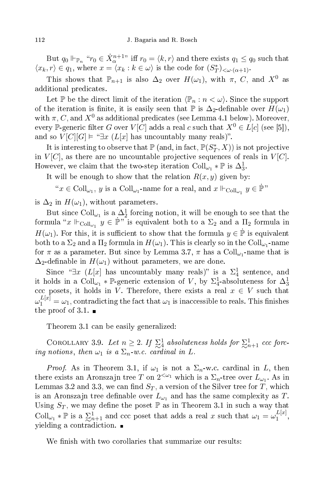But  $q_0 \Vdash_{\mathbb{P}_n}$  " $r_0 \in \dot{X}^{n+1}_{\alpha}$  iff  $r_0 = \langle k, r \rangle$  and there exists  $q_1 \leq q_0$  such that  $\langle x_k, r \rangle \in q_1$ , where  $x = \langle x_k : k \in \omega \rangle$  is the code for  $(S_T^*)_{\langle \omega \cdot (\alpha+1) \cdot \langle \omega \cdot (\alpha+1) \cdot \rangle}$ 

This shows that  $\mathbb{P}_{n+1}$  is also  $\Delta_2$  over  $H(\omega_1)$ , with  $\pi$ , C, and  $X^0$  as additional predicates.

Let P be the direct limit of the iteration  $\langle P_n : n < \omega \rangle$ . Since the support of the iteration is finite, it is easily seen that  $\mathbb P$  is  $\Delta_2$ -definable over  $H(\omega_1)$ with  $\pi$ , C, and  $X^0$  as additional predicates (see Lemma 4.1 below). Moreover, every P-generic filter G over  $V[C]$  adds a real c such that  $X^0 \in L[c]$  (see [5]), and so  $V[C][G] \models " \exists x (L[x]$  has uncountably many reals)".

It is interesting to observe that  $\mathbb{P}$  (and, in fact,  $\mathbb{P}(S_T^*, X)$ ) is not projective in  $V[C]$ , as there are no uncountable projective sequences of reals in  $V[C]$ . However, we claim that the two-step iteration  $Coll_{\omega_1} * \mathbb{P}$  is  $\Delta_3^1$ .

It will be enough to show that the relation  $R(x, y)$  given by:

" $x \in \text{Coll}_{\omega_1}, y$  is a  $\text{Coll}_{\omega_1}$ -name for a real, and  $x \Vdash_{\text{Coll}_{\omega_1}} y \in \dot{\mathbb{P}}$ "

is  $\Delta_2$  in  $H(\omega_1)$ , without parameters.

But since  $\text{Coll}_{\omega_1}$  is a  $\Delta_2^1$  forcing notion, it will be enough to see that the formula " $x \Vdash_{\text{Coll}_{\omega_1}} y \in \mathbb{P}^{n}$ " is equivalent both to a  $\Sigma_2$  and a  $\Pi_2$  formula in  $H(\omega_1)$ . For this, it is sufficient to show that the formula  $y \in \dot{P}$  is equivalent both to a  $\Sigma_2$  and a  $\Pi_2$  formula in  $H(\omega_1)$ . This is clearly so in the  $\mathrm{Coll}_{\omega_1}\text{-name}$ for  $\pi$  as a parameter. But since by Lemma 3.7,  $\pi$  has a  $\mathrm{Coll}_{\omega_1}$ -name that is  $\Delta_2$ -definable in  $H(\omega_1)$  without parameters, we are done.

Since " $\exists x \ (L[x]$  has uncountably many reals)" is a  $\Sigma_4^1$  sentence, and it holds in a  $\text{Coll}_{\omega_1} * \mathbb{P}$ -generic extension of V, by  $\Sigma_4^1$ -absoluteness for  $\Delta_3^1$ ccc posets, it holds in V. Therefore, there exists a real  $x \in V$  such that  $\omega_1^{L[x]} = \omega_1,$  contradicting the fact that  $\omega_1$  is inaccessible to reals. This finishes the proof of 3.1.  $\blacksquare$ 

Theorem 3.1 an be easily generalized:

COROLLARY 3.9. Let  $n \geq 2$ . If  $\sum_{n=1}^{1}$  absoluteness holds for  $\sum_{n+1}^{1}$  ccc forcing notions, then  $\omega_1$  is a  $\Sigma_n$ -w.c. cardinal in L.

*Proof.* As in Theorem 3.1, if  $\omega_1$  is not a  $\Sigma_n$ -w.c. cardinal in L, then there exists an Aronszajn tree T on  $2^{<\omega_1}$  which is a  $\Sigma_n$ -tree over  $L_{\omega_1}$ . As in Lemmas 3.2 and 3.3, we can find  $S_T$ , a version of the Silver tree for T, which is an Aronszajn tree definable over  $L_{\omega_1}$  and has the same complexity as T. Using  $S_T$ , we may define the poset  $\mathbb P$  as in Theorem 3.1 in such a way that Coll<sub>ω1</sub> ∗ P is a  $\sum_{n=1}^{\infty}$  and ccc poset that adds a real x such that  $\omega_1 = \omega_1^{L[x]}$ 1 , yielding a contradiction.

We finish with two corollaries that summarize our results: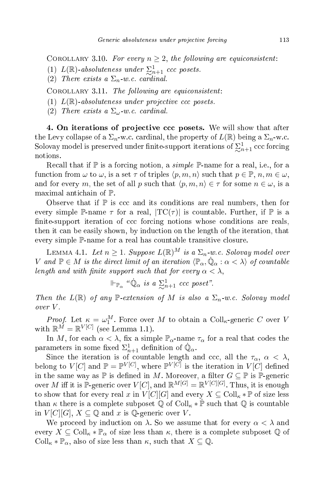COROLLARY 3.10. For every  $n \geq 2$ , the following are equiconsistent:

- (1)  $L(\mathbb{R})$ -absoluteness under  $\sum_{n=1}^{1}$  ccc posets.<br>
(2) These exists  $\sum$  we constitued
- (2) There exists a  $\Sigma_n$ -w.c. cardinal.

COROLLARY 3.11. The following are equiconsistent:

- (1)  $L(\mathbb{R})$ -absoluteness under projective ccc posets.
- (2) There exists a  $\Sigma_{\omega}$ -w.c. cardinal.

4. On iterations of pro je
tive posets. We will show that after the Levy collapse of a  $\Sigma_n$ -w.c. cardinal, the property of  $L(\mathbb{R})$  being a  $\Sigma_n$ -w.c. Solovay model is preserved under finite-support iterations of  $\sum_{n+1}^{1}$  ccc forcing notions.

Recall that if  $\mathbb P$  is a forcing notion, a *simple*  $\mathbb P$ -name for a real, i.e., for a function from  $\omega$  to  $\omega$ , is a set  $\tau$  of triples  $\langle p, m, n \rangle$  such that  $p \in \mathbb{P}, n, m \in \omega$ , and for every m, the set of all p such that  $\langle p, m, n \rangle \in \tau$  for some  $n \in \omega$ , is a maximal anti
hain of P.

Observe that if  $\mathbb P$  is  ${\rm ccc}$  and its conditions are real numbers, then for every simple P-name  $\tau$  for a real,  $|TC(\tau)|$  is countable. Further, if P is a finite-support iteration of ccc forcing notions whose conditions are reals, then it an be easily shown, by indu
tion on the length of the iteration, that every simple P-name for a real has ountable transitive losure.

LEMMA 4.1. Let  $n \geq 1$ . Suppose  $L(\mathbb{R})^M$  is a  $\Sigma_n$ -w.c. Solovay model over V and  $\mathbb{P}\in M$  is the direct limit of an iteration  $\langle \mathbb{P}_\alpha, \dot{\mathbb{Q}}_\alpha:\alpha<\lambda\rangle$  of countable length and with finite support such that for every  $\alpha < \lambda$ .

 $\Vdash_{\mathbb{P}_{\alpha}}$  " $\dot{\mathbb{Q}}_{\alpha}$  is a  $\sum_{n+1}^{1}$  ccc poset".

Then the  $L(\mathbb{R})$  of any  $\mathbb{P}\text{-}extension$  of M is also a  $\Sigma_n$ -w.c. Solovay model over V .

*Proof.* Let  $\kappa = \omega_1^M$ . Force over M to obtain a Coll<sub>k</sub>-generic C over V with  $\mathbb{R}^M = \mathbb{R}^{V[C]}$  (see Lemma 1.1).

In M, for each  $\alpha < \lambda$ , fix a simple  $\mathbb{P}_{\alpha}$ -name  $\tau_{\alpha}$  for a real that codes the parameters in some fixed  $\Sigma^1_{n+1}$  definition of  $\dot{\mathbb{Q}}_{\alpha}$ .

Since the iteration is of countable length and ccc, all the  $\tau_{\alpha}$ ,  $\alpha$  <  $\lambda$ , belong to  $V[C]$  and  $\mathbb{P} = \mathbb{P}^{V[C]}$ , where  $\mathbb{P}^{V[C]}$  is the iteration in  $V[C]$  defined in the same way as  $\mathbb P$  is defined in M. Moreover, a filter  $G \subseteq \mathbb P$  is  $\mathbb P$ -generic over M iff it is P-generic over  $V[C]$ , and  $\mathbb{R}^{M[G]} = \mathbb{R}^{V[C][G]}$ . Thus, it is enough to show that for every real x in  $V[C][G]$  and every  $X \subseteq \text{Coll}_{\kappa} * \mathbb{P}$  of size less than  $\kappa$  there is a complete subposet  $\mathbb Q$  of  $\mathrm{Coll}_{\kappa} * \mathbb P$  such that  $\mathbb Q$  is countable in  $V[C][G], X \subseteq \mathbb{Q}$  and x is  $\mathbb{Q}$ -generic over V.

We proceed by induction on  $\lambda$ . So we assume that for every  $\alpha < \lambda$  and every  $X \subseteq \text{Coll}_{\kappa} * \mathbb{P}_{\alpha}$  of size less than  $\kappa$ , there is a complete subposet Q of Coll<sub> $\kappa * \mathbb{P}_{\alpha}$ , also of size less than  $\kappa$ , such that  $X \subseteq \mathbb{Q}$ .</sub>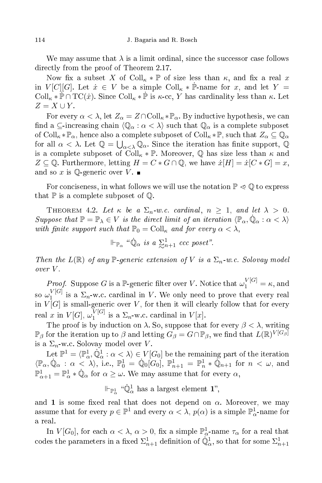We may assume that  $\lambda$  is a limit ordinal, since the successor case follows directly from the proof of Theorem 2.17.

Now fix a subset X of Coll<sub> $\kappa$ </sub> \* P of size less than  $\kappa$ , and fix a real x in  $V[C][G]$ . Let  $\dot{x} \in V$  be a simple  $Coll_{\kappa} * \dot{\mathbb{P}}$ -name for x, and let  $Y =$ Coll<sub> $\kappa$ </sub> \*  $\mathbb{P} \cap \mathrm{TC}(\dot{x})$ . Since Coll<sub> $\kappa$ </sub> \*  $\mathbb{P}$  is  $\kappa$ -cc, Y has cardinality less than  $\kappa$ . Let  $Z = X \cup Y$ .

For every  $\alpha < \lambda$ , let  $Z_{\alpha} = Z \cap Coll_{\kappa} * \mathbb{P}_{\alpha}$ . By inductive hypothesis, we can find a  $\subseteq$ -increasing chain  $\langle \mathbb{Q}_{\alpha} : \alpha < \lambda \rangle$  such that  $\mathbb{Q}_{\alpha}$  is a complete subposet of Coll<sub> $\kappa \ast \mathbb{P}_{\alpha}$ , hence also a complete subposet of Coll $\kappa \ast \mathbb{P}$ , such that  $Z_{\alpha} \subseteq \mathbb{Q}_{\alpha}$ </sub> for all  $\alpha < \lambda$ . Let  $\mathbb{Q} = \bigcup_{\alpha < \lambda} \mathbb{Q}_{\alpha}$ . Since the iteration has finite support,  $\mathbb{Q}$ is a complete subposet of  $Coll_{\kappa} * \mathbb{P}$ . Moreover,  $\mathbb Q$  has size less than  $\kappa$  and  $Z \subseteq \mathbb{Q}$ . Furthermore, letting  $H = C * G \cap \mathbb{Q}$ , we have  $\dot{x}[H] = \dot{x}[C * G] = x$ , and so x is  $\mathbb Q$  generic over V.  $\blacksquare$ 

For conciseness, in what follows we will use the notation  $\mathbb{P} \ll \mathbb{Q}$  to express that  $\mathbb P$  is a complete subposet of  $\mathbb Q$ .

THEOREM 4.2. Let  $\kappa$  be a  $\Sigma_n$ -w.c. cardinal,  $n \geq 1$ , and let  $\lambda > 0$ . Suppose that  $\mathbb{P} = \mathbb{P}_{\lambda} \in V$  is the direct limit of an iteration  $\langle \mathbb{P}_{\alpha}, \dot{\mathbb{Q}}_{\alpha} : \alpha < \lambda \rangle$ with finite support such that  $\mathbb{P}_0 = \text{Coll}_{\kappa}$  and for every  $\alpha < \lambda$ ,

$$
\Vdash_{\mathbb{P}_{\alpha}} \text{``}\dot{\mathbb{Q}}_{\alpha} \text{ is a } \sum_{\sim}^{1} \text{cc poset".}
$$

Then the  $L(\mathbb{R})$  of any  $\mathbb{P}$ -generic extension of V is a  $\Sigma_n$ -w.c. Solovay model over V .

*Proof.* Suppose G is a P-generic filter over V. Notice that  $\omega_1^{V[G]} = \kappa$ , and so  $\omega_1^{V[G]}$  $\frac{1}{1}$  is a  $\Sigma_n$ -w.c. cardinal in V. We only need to prove that every real in  $V[G]$  is small-generic over V, for then it will clearly follow that for every real x in  $V[G], \omega_1^{V[G]}$  $\sum_{1}^{V}$  is a  $\Sigma_n$ -w.c. cardinal in  $V[x]$ .

The proof is by induction on  $\lambda$ . So, suppose that for every  $\beta < \lambda$ , writing  $\mathbb{P}_\beta$  for the iteration up to  $\beta$  and letting  $G_\beta=G\cap \mathbb{P}_\beta,$  we find that  $L(\mathbb{R})^{V[G_\beta]}$ is a  $\Sigma_n$ -w.c. Solovay model over V.

 ${\rm Let}\; \mathbb{P}^1=\langle \mathbb{P}^1_\alpha,\dot{\mathbb{Q}}^1_\alpha:\alpha<\lambda\rangle\in V[G_0]$  be the remaining part of the iteration  $\langle \mathbb{P}_{\alpha}, \dot{\mathbb{Q}}_{\alpha} : \alpha < \lambda \rangle$ , i.e.,  $\mathbb{P}_{0}^{1} = \dot{\mathbb{Q}}_{0}[G_{0}], \mathbb{P}_{n+1}^{1} = \mathbb{P}_{n}^{1} * \dot{\mathbb{Q}}_{n+1}$  for  $n < \omega$ , and  $\mathbb{P}^1_{\alpha+1} = \mathbb{P}^1_{\alpha} * \dot{\mathbb{Q}}_{\alpha}$  for  $\alpha \geq \omega$ . We may assume that for every  $\alpha$ ,

 $\Vdash_{\mathbb{P}^1_\alpha}$  " $\dot{\mathbb{Q}}^1_\alpha$  has a largest element 1",

and 1 is some fixed real that does not depend on  $\alpha$ . Moreover, we may assume that for every  $p \in \mathbb{P}^1$  and every  $\alpha < \lambda$ ,  $p(\alpha)$  is a simple  $\mathbb{P}^1_\alpha$ -name for a real.

In  $V[G_0]$ , for each  $\alpha < \lambda$ ,  $\alpha > 0$ , fix a simple  $\mathbb{P}^1_\alpha$ -name  $\tau_\alpha$  for a real that codes the parameters in a fixed  $\Sigma^1_{n+1}$  definition of  $\dot{\mathbb{Q}}^1_\alpha$ , so that for some  $\Sigma^1_{n+1}$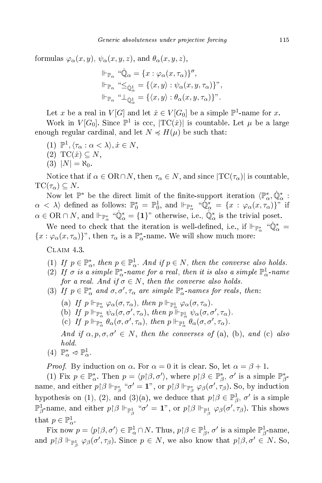formulas  $\varphi_{\alpha}(x, y), \psi_{\alpha}(x, y, z),$  and  $\theta_{\alpha}(x, y, z),$ 

$$
\begin{aligned} \Vdash_{\mathbb{P}_\alpha} \text{``}\dot{\mathbb{Q}}_\alpha &= \{x: \varphi_\alpha(x,\tau_\alpha)\}'',\\ \Vdash_{\mathbb{P}_\alpha} \text{``}\leq_{\dot{\mathbb{Q}}_\alpha^1} &= \{\langle x,y\rangle: \psi_\alpha(x,y,\tau_\alpha)\}'',\\ \Vdash_{\mathbb{P}_\alpha} \text{``}\bot_{\dot{\mathbb{Q}}_\alpha^1} &= \{\langle x,y\rangle: \theta_\alpha(x,y,\tau_\alpha)\}''. \end{aligned}
$$

Let x be a real in  $V[G]$  and let  $\dot{x} \in V[G_0]$  be a simple  $\mathbb{P}^1$ -name for x.

Work in  $V[G_0]$ . Since  $\mathbb{P}^1$  is ccc,  $|\text{TC}(\dot{x})|$  is countable. Let  $\mu$  be a large enough regular cardinal, and let  $N \preccurlyeq H(\mu)$  be such that:

- (1)  $\mathbb{P}^1, \langle \tau_\alpha : \alpha < \lambda \rangle, \dot{x} \in N$ ,
- $(2)$  TC $(\dot{x}) \subseteq N$ ,
- $(3)$  |N| =  $\aleph_0$ .

Notice that if  $\alpha \in \text{OR} \cap N$ , then  $\tau_{\alpha} \in N$ , and since  $|\text{TC}(\tau_{\alpha})|$  is countable,  $TC(\tau_{\alpha}) \subseteq N$ .

Now let  $\mathbb{P}^*$  be the direct limit of the finite-support iteration  $\langle \mathbb{P}^*_{\alpha}, \dot{\mathbb{Q}}^*_{\alpha} \rangle$ :  $\alpha < \lambda$  defined as follows:  $\mathbb{P}_0^* = \mathbb{P}_0^1$ , and  $\Vdash_{\mathbb{P}_\alpha^*}$  " $\dot{\mathbb{Q}}_\alpha^* = \{x : \varphi_\alpha(x, \tau_\alpha)\}$ " if  $\alpha \in \text{OR} \cap N$ , and  $\Vdash_{\mathbb{P}^*_{\alpha}} \text{``}\dot{\mathbb{Q}}^*_{\alpha} = \{\mathbf{1}\}$ " otherwise, i.e.,  $\dot{\mathbb{Q}}^*_{\alpha}$  is the trivial poset.

We need to check that the iteration is well-defined, i.e., if  $\Vdash_{\mathbb{P}^*_\alpha}$  " $\dot{\mathbb{Q}}^*_\alpha$  =  ${x : \varphi_\alpha(x, \tau_\alpha)}$ , then  $\tau_\alpha$  is a  $\mathbb{P}^*_\alpha$ -name. We will show much more:

- (1) If  $p \in \mathbb{P}^*_\alpha$ , then  $p \in \mathbb{P}^1_\alpha$ . And if  $p \in N$ , then the converse also holds.
- (2) If  $\sigma$  is a simple  $\mathbb{P}^*_\alpha$ -name for a real, then it is also a simple  $\mathbb{P}^1_\alpha$ -name for a real. And if  $\sigma \in N$ , then the converse also holds.
- (3) If  $p \in \mathbb{P}^*_\alpha$  and  $\sigma, \sigma', \tau_\alpha$  are simple  $\mathbb{P}^*_\alpha$ -names for reals, then:
	- (a) If  $p \Vdash_{\mathbb{P}^*_{\alpha}} \varphi_{\alpha}(\sigma, \tau_{\alpha})$ , then  $p \Vdash_{\mathbb{P}^1_{\alpha}} \varphi_{\alpha}(\sigma, \tau_{\alpha})$ .
	- (b) If  $p \Vdash_{\mathbb{P}^*_\alpha} \psi_\alpha(\sigma, \sigma', \tau_\alpha)$ , then  $p \Vdash_{\mathbb{P}^1_\alpha} \psi_\alpha(\sigma, \sigma', \tau_\alpha)$ .
	- (c) If  $p \Vdash_{\mathbb{P}_{\alpha}^{*}} \theta_{\alpha}(\sigma, \sigma', \tau_{\alpha})$ , then  $p \Vdash_{\mathbb{P}_{\alpha}^{1}} \theta_{\alpha}(\sigma, \sigma', \tau_{\alpha})$ .

And if  $\alpha, p, \sigma, \sigma' \in N$ , then the converses of (a), (b), and (c) also hold.

(4)  $\mathbb{P}^*_{\alpha} \triangleleft \mathbb{P}^1_{\alpha}$ .

*Proof.* By induction on  $\alpha$ . For  $\alpha = 0$  it is clear. So, let  $\alpha = \beta + 1$ .

(1) Fix  $p \in \mathbb{P}_{\alpha}^*$ . Then  $p = \langle p | \beta, \sigma' \rangle$ , where  $p | \beta \in \mathbb{P}_{\beta}^*$ ,  $\sigma'$  is a simple  $\mathbb{P}_{\beta}^*$ . name, and either  $p \upharpoonright \beta \Vdash_{\mathbb{P}^*_{\beta}} \text{``$\sigma'$} = \mathbf{1}$ ", or  $p \upharpoonright \beta \Vdash_{\mathbb{P}^*_{\beta}} \varphi_{\beta}(\sigma', \tau_{\beta})$ . So, by induction hypothesis on (1), (2), and (3)(a), we deduce that  $p \upharpoonright \beta \in \mathbb{P}^1_\beta$ ,  $\sigma'$  is a simple  $\mathbb{P}^1_{\beta}$ -name, and either  $p \upharpoonright \beta \Vdash_{\mathbb{P}^1_{\beta}} \text{``$\sigma'$} = \mathbf{1}$ ", or  $p \upharpoonright \beta \Vdash_{\mathbb{P}^1_{\beta}} \varphi_{\beta}(\sigma', \tau_{\beta})$ . This shows that  $p \in \mathbb{P}^1_{\alpha}$ .

Fix now  $p = \langle p \restriction \beta, \sigma' \rangle \in \mathbb{P}^1_\alpha \cap N$ . Thus,  $p \restriction \beta \in \mathbb{P}^1_\beta$ ,  $\sigma'$  is a simple  $\mathbb{P}^1_\beta$ -name, and  $p \upharpoonright \beta \Vdash_{\mathbb{P}^1_\beta} \varphi_\beta(\sigma', \tau_\beta)$ . Since  $p \in N$ , we also know that  $p \upharpoonright \beta, \sigma' \in N$ . So,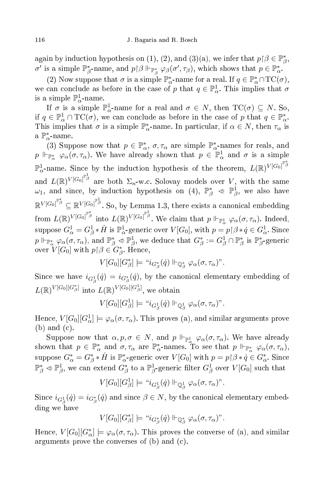again by induction hypothesis on (1), (2), and (3)(a), we infer that  $p \restriction \beta \in \mathbb{P}_{\beta}^*$ ,  $\sigma'$  is a simple  $\mathbb{P}^*_{\beta}$ -name, and  $p \upharpoonright \beta \Vdash_{\mathbb{P}^*_{\beta}} \varphi_{\beta}(\sigma', \tau_{\beta})$ , which shows that  $p \in \mathbb{P}^*_{\alpha}$ .

(2) Now suppose that  $\sigma$  is a simple  $\mathbb{P}^*_{\alpha}$ -name for a real. If  $q \in \mathbb{P}^*_{\alpha} \cap TC(\sigma)$ , we can conclude as before in the case of p that  $q \in \mathbb{P}^1_\alpha$ . This implies that  $\sigma$ is a simple  $\mathbb{P}^1_\alpha$ -name.

If  $\sigma$  is a simple  $\mathbb{P}^1_\alpha$ -name for a real and  $\sigma \in N$ , then  $TC(\sigma) \subseteq N$ . So, if  $q \in \mathbb{P}^1_\alpha \cap TC(\sigma)$ , we can conclude as before in the case of p that  $q \in \mathbb{P}^*_\alpha$ . This implies that  $\sigma$  is a simple  $\mathbb{P}^*_{\alpha}$ -name. In particular, if  $\alpha \in N$ , then  $\tau_{\alpha}$  is a P ∗  $_{\alpha}$ -name.

(3) Suppose now that  $p \in \mathbb{P}^*_\alpha$ ,  $\sigma, \tau_\alpha$  are simple  $\mathbb{P}^*_\alpha$ -names for reals, and  $p \Vdash_{\mathbb{P}^*_\alpha} \varphi_\alpha(\sigma, \tau_\alpha)$ . We have already shown that  $p \in \mathbb{P}^1_\alpha$  and  $\sigma$  is a simple  $\mathbb{P}^1_\alpha$ -name. Since by the induction hypothesis of the theorem,  $L(\mathbb{R})^{V[G_0]}^{\mathbb{P}^*_\beta}$ and  $L(\mathbb{R})^{V[G_0]}^{\mathbb{P}^1_{\beta}}$  are both  $\Sigma_n$ -w.c. Solovay models over V, with the same  $\omega_1$ , and since, by induction hypothesis on (4),  $\mathbb{P}^*_{\beta} \preceq \mathbb{P}^1_{\beta}$ , we also have  $\mathbb{R}^{V[G_0]^{\mathbb{P}^*_{\beta}}}\subseteq \mathbb{R}^{V[G_0]^{\mathbb{P}^1_{\beta}}}.$  So, by Lemma 1.3, there exists a canonical embedding from  $L(\mathbb{R})^{V[G_0]^{\mathbb{P}^*_{\beta}}}$  into  $L(\mathbb{R})^{V[G_0]^{\mathbb{P}^1_{\beta}}}$ . We claim that  $p \Vdash_{\mathbb{P}^1_{\alpha}} \varphi_{\alpha}(\sigma, \tau_{\alpha})$ . Indeed, suppose  $G_{\alpha}^1 = G_{\beta}^1 * H$  is  $\mathbb{P}_{\alpha}^1$ -generic over  $V[G_0]$ , with  $p = p \upharpoonright \beta * \dot{q} \in G_{\alpha}^1$ . Since  $p \Vdash_{\mathbb{P}^*_\alpha} \varphi_\alpha(\sigma, \tau_\alpha)$ , and  $\mathbb{P}^*_\beta \lessdot \mathbb{P}^1_\beta$ , we deduce that  $G^*_\beta := G^1_\beta \cap \mathbb{P}^*_\beta$  is  $\mathbb{P}^*_\beta$ -generic over  $V[G_0]$  with  $p \nvert \beta \in G_{\beta}^*$ . Hence,

$$
V[G_0][G^*_{\beta}] \models ``i_{G^*_{\beta}}(\dot{q}) \Vdash_{\mathbb{Q}^*_{\beta}} \varphi_{\alpha}(\sigma, \tau_{\alpha})".
$$

Since we have  $i_{G^1_\beta}(\dot{q}) = i_{G^*_\beta}(\dot{q})$ , by the canonical elementary embedding of  $L(\mathbb{R})^{V[G_0][G^*_{\beta}]}$  into  $L(\mathbb{R})^{V[G_0][G^1_{\beta}]}$ , we obtain

$$
V[G_0][G^1_\beta]\models "i_{G^1_\beta}(\dot{q})\Vdash_{\mathbb{Q}_\beta^1}\varphi_\alpha(\sigma,\tau_\alpha)".
$$

Hence,  $V[G_0][G_{\alpha}^1] \models \varphi_{\alpha}(\sigma, \tau_{\alpha})$ . This proves (a), and similar arguments prove  $(b)$  and  $(c)$ .

Suppose now that  $\alpha, p, \sigma \in N$ , and  $p \Vdash_{\mathbb{P}^1_\alpha} \varphi_\alpha(\sigma, \tau_\alpha)$ . We have already shown that  $p \in \mathbb{P}^*_{\alpha}$  and  $\sigma, \tau_{\alpha}$  are  $\mathbb{P}^*_{\alpha}$ -names. To see that  $p \Vdash_{\mathbb{P}^*_{\alpha}} \varphi_{\alpha}(\sigma, \tau_{\alpha})$ , suppose  $G^*_\alpha = G^*_\beta * \dot{H}$  is  $\mathbb{P}^*_\alpha$ -generic over  $V[G_0]$  with  $p = p \restriction \beta * \dot{q} \in G^*_\alpha$ . Since  $\mathbb{P}^*_{\beta}\otimes\mathbb{P}^1_{\beta}$ , we can extend  $G^*_{\beta}$  to a  $\mathbb{P}^1_{\beta}$ -generic filter  $G^1_{\beta}$  over  $V[G_0]$  such that

$$
V[G_0][G^1_\beta]\models "i_{G^1_\beta}(\dot{q})\Vdash_{\mathbb{Q}_\beta^1}\varphi_\alpha(\sigma,\tau_\alpha)".
$$

Since  $i_{G_{\beta}^1}(\dot{q}) = i_{G_{\beta}^*}(\dot{q})$  and since  $\beta \in N$ , by the canonical elementary embedding we have

$$
V[G_0][G^*_{\beta}] \models "i_{G^*_{\beta}}(\dot{q}) \Vdash_{\mathbb{Q}^*_{\beta}} \varphi_{\alpha}(\sigma, \tau_{\alpha})".
$$

Hence,  $V[G_0][G^*_{\alpha}] \models \varphi_{\alpha}(\sigma, \tau_{\alpha})$ . This proves the converse of (a), and similar arguments prove the converses of (b) and (c).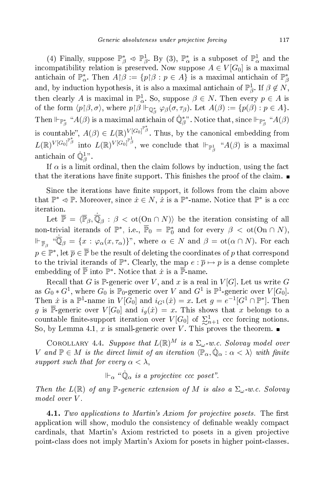(4) Finally, suppose  $\mathbb{P}^*_{\beta} \preceq \mathbb{P}^1_{\beta}$ . By (3),  $\mathbb{P}^*_{\alpha}$  is a subposet of  $\mathbb{P}^1_{\alpha}$  and the incompatibility relation is preserved. Now suppose  $A \in V[G_0]$  is a maximal antichain of  $\mathbb{P}^*_{\alpha}$ . Then  $A {\upharpoonright} \beta := \{p {\upharpoonright} \beta : p \in A\}$  is a maximal antichain of  $\mathbb{P}^*_{\beta}$ and, by induction hypothesis, it is also a maximal antichain of  $\mathbb{P}^1_\beta$ . If  $\beta \notin N$ , then clearly A is maximal in  $\mathbb{P}^1_\alpha$ . So, suppose  $\beta \in N$ . Then every  $p \in A$  is of the form  $\langle p \restriction \beta, \sigma \rangle$ , where  $p \restriction \beta \Vdash_{\mathbb{Q}^*_{\beta}} \varphi_{\beta}(\sigma, \tau_{\beta})$ . Let  $A(\beta) := \{p(\beta) : p \in A\}$ . Then  $\Vdash_{\mathbb{P}^*_{\beta}}$  " $A(\beta)$  is a maximal antichain of  $\dot{\mathbb{Q}}^{*}_{\beta}$ ". Notice that, since  $\Vdash_{\mathbb{P}^*_{\beta}}$  " $A(\beta)$ is countable",  $A(\beta) \in L(\mathbb{R})^{V[G_0]}^{\mathbb{P}^*_{\beta}}$ . Thus, by the anoni
al embedding from  $L(\mathbb{R})^{V[G_0]}^{\mathbb{P}^*_{\beta}}$  into  $L(\mathbb{R})^{V[G_0]}^{\mathbb{P}^1_{\beta}}$ , we conclude that  $\Vdash_{\mathbb{P}^1_{\beta}}$  " $A(\beta)$  is a maximal antichain of  $\dot{\mathbb{Q}}_{\beta}^1$ ".

If  $\alpha$  is a limit ordinal, then the claim follows by induction, using the fact that the iterations have finite support. This finishes the proof of the claim.  $\blacksquare$ 

Since the iterations have finite support, it follows from the claim above that  $\mathbb{P}^* \otimes \mathbb{P}$ . Moreover, since  $\dot{x} \in N$ ,  $\dot{x}$  is a  $\mathbb{P}^*$ -name. Notice that  $\mathbb{P}^*$  is a ccc

Let  $\overline{\mathbb{P}} = \langle \overline{\mathbb{P}}_{\beta}, \dot{\overline{\mathbb{Q}}}_{\beta} : \beta < \text{ot}(\overline{\mathrm{On}} \cap N) \rangle$  be the iteration consisting of all non-trivial iterands of  $\mathbb{P}^*$ , i.e.,  $\overline{\mathbb{P}}_0 = \mathbb{P}_0^*$  and for every  $\beta < \text{ot}(\text{On } \cap N)$ ,  $\Vdash_{\overline{\mathbb{P}}_{\beta}} \sqrt[\alpha]{\mathbb{Q}}_{\beta} = \{x : \varphi_{\alpha}(x, \tau_{\alpha})\}$ ", where  $\alpha \in N$  and  $\beta = \text{ot}(\alpha \cap N)$ . For each  $p\in \mathbb{P}^*,$  let  $\overline{p}\in \overline{\mathbb{P}}$  be the result of deleting the coordinates of  $p$  that correspond to the trivial iterands of  $\mathbb{P}^*$ . Clearly, the map  $e: \overline{p} \mapsto p$  is a dense complete embedding of  $\overline{P}$  into  $\mathbb{P}^*$ . Notice that  $\dot{x}$  is a  $\overline{P}$ -name.

Recall that G is P-generic over V, and x is a real in  $V[G]$ . Let us write G as  $G_0 * G^1$ , where  $G_0$  is  $\mathbb{P}_0$ -generic over V and  $G^1$  is  $\mathbb{P}^1$ -generic over  $V[G_0]$ . Then  $\dot{x}$  is a  $\mathbb{P}^1$ -name in  $V[G_0]$  and  $i_{G^1}(\dot{x}) = x$ . Let  $g = e^{-1}[G^1 \cap \mathbb{P}^*]$ . Then g is  $\overline{\mathbb{P}}$ -generic over  $V[G_0]$  and  $i_q(x) = x$ . This shows that x belongs to a countable finite-support iteration over  $V[G_0]$  of  $\Sigma_{n+1}^1$  ccc forcing notions. So, by Lemma 4.1,  $x$  is small-generic over  $V$ . This proves the theorem.

COROLLARY 4.4. Suppose that  $L(\mathbb{R})^M$  is a  $\Sigma_{\omega}$ -w.c. Solovay model over V and  $\mathbb{P} \in M$  is the direct limit of an iteration  $\langle \mathbb{P}_{\alpha}, \dot{\mathbb{Q}}_{\alpha} : \alpha < \lambda \rangle$  with finite support such that for every  $\alpha < \lambda$ ,

 $\Vdash_{\alpha}$  " $\dot{\mathbb{Q}}_{\alpha}$  is a projective ccc poset".

Then the  $L(\mathbb{R})$  of any  $\mathbb{P}$ -generic extension of M is also a  $\Sigma_{\omega}$ -w.c. Solovay model over V .

**4.1.** Two applications to Martin's Axiom for projective posets. The first application will show, modulo the consistency of definable weakly compact cardinals, that Martin's Axiom restricted to posets in a given projective pointlass does not imply Martin's Axiom for posets in higher pointlasses.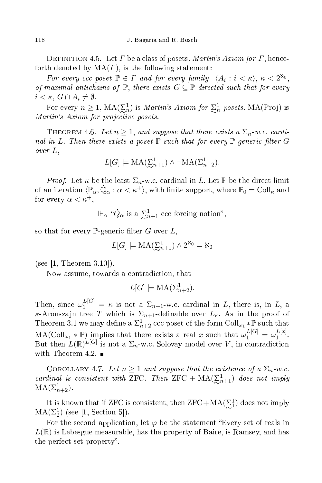DEFINITION 4.5. Let  $\varGamma$  be a class of posets. Martin's Axiom for  $\varGamma,$  henceforth denoted by  $MA(\Gamma)$ , is the following statement:

For every ccc poset  $\mathbb{P} \in \Gamma$  and for every family  $\langle A_i : i < \kappa \rangle, \ \kappa < 2^{\aleph_0}$ , of maximal antichains of  $\mathbb{P}$ , there exists  $G \subseteq \mathbb{P}$  directed such that for every  $i < \kappa$ ,  $G \cap A_i \neq \emptyset$ .

For every  $n \geq 1$ ,  $\text{MA}(\Sigma_n^1)$  is *Martin's Axiom for*  $\Sigma_n^1$  posets.  $\text{MA}(\text{Proj})$  is Martin's Axiom for projective posets.

THEOREM 4.6. Let  $n \geq 1$ , and suppose that there exists a  $\Sigma_n$ -w.c. cardinal in L. Then there exists a poset  $\mathbb P$  such that for every  $\mathbb P$ -generic filter G over L,

$$
L[G] \models \text{MA}(\Sigma_{n+1}^1) \land \neg \text{MA}(\Sigma_{n+2}^1).
$$

*Proof.* Let  $\kappa$  be the least  $\Sigma_n$ -w.c. cardinal in L. Let P be the direct limit of an iteration  $\langle \mathbb{P}_{\alpha}, \dot{\mathbb{Q}}_{\alpha} : \alpha < \kappa^{+}\rangle$ , with finite support, where  $\mathbb{P}_{0} = \mathrm{Coll}_{\kappa}$  and for every  $\alpha < \kappa^+$ ,

 $\Vdash_{\alpha}$  " $\dot{Q}_{\alpha}$  is a  $\sum_{n+1}^{1}$  ccc forcing notion",

so that for every  $\mathbb{P}$ -generic filter G over L,

$$
L[G] \models \mathrm{MA}(\sum_{n+1}^{1}) \wedge 2^{\aleph_0} = \aleph_2
$$

(see  $[1,$  Theorem  $3.10$ ).

Now assume, towards a contradiction, that

$$
L[G] \models \text{MA}(\Sigma_{n+2}^1).
$$

Then, since  $\omega_1^{L[G]} = \kappa$  is not a  $\Sigma_{n+1}$ -w.c. cardinal in L, there is, in L, a  $\kappa$ -Aronszajn tree T which is  $\Sigma_{n+1}$ -definable over  $L_{\kappa}$ . As in the proof of Theorem 3.1 we may define a  $\Sigma^1_{n+2}$  ccc poset of the form  $\mathrm{Coll}_{\omega_1} * \mathbb{P}$  such that  $MA(Coll_{\omega_1} * \mathbb{P})$  implies that there exists a real x such that  $\omega_1^{L[G]} = \omega_1^{L[x]}$ But then  $L(\mathbb{R})^{L[G]}$  is not a  $\Sigma_n$ -w.c. Solovay model over V, in contradiction with Theorem 4.2.  $\blacksquare$ 

COROLLARY 4.7. Let  $n \geq 1$  and suppose that the existence of a  $\Sigma_n$ -w.c. cardinal is consistent with ZFC. Then  $\text{ZFC} + \text{MA}(\sum_{n=1}^{1} d_n)$  does not imply  $MA(\Sigma_{n+2}^1)$ .

It is known that if ZFC is consistent, then  $ZFC + MA(\Sigma_1^1)$  does not imply  $(\Sigma_1^1)$  (see It Section 5))  $MA(\Sigma_2^1)$  (see [1, Section 5]).

For the second application, let  $\varphi$  be the statement "Every set of reals in  $L(\mathbb{R})$  is Lebesgue measurable, has the property of Baire, is Ramsey, and has the perfect set property".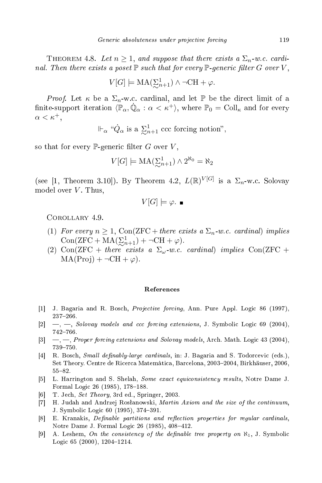THEOREM 4.8. Let  $n \geq 1$ , and suppose that there exists a  $\Sigma_n$ -w.c. cardinal. Then there exists a poset  $\mathbb P$  such that for every  $\mathbb P$ -generic filter G over V,

$$
V[G] \models \text{MA}(\Sigma_{n+1}^1) \land \neg \text{CH} + \varphi.
$$

*Proof.* Let  $\kappa$  be a  $\Sigma_n$ -w.c. cardinal, and let P be the direct limit of a finite-support iteration  $\langle \mathbb{P}_{\alpha}, \dot{\mathbb{Q}}_{\alpha} : \alpha < \kappa^{+}\rangle$ , where  $\mathbb{P}_{0} = \text{Coll}_{\kappa}$  and for every  $\alpha < \kappa^+$ ,

 $\Vdash_{\alpha}$  " $\dot{Q}_{\alpha}$  is a  $\sum_{n+1}^{1}$  ccc forcing notion",

so that for every  $\mathbb{P}$ -generic filter G over V,

$$
V[G] \models \text{MA}(\sum_{n+1}^{1}) \land 2^{\aleph_0} = \aleph_2
$$

(see [1, Theorem 3.10]). By Theorem 4.2,  $L(\mathbb{R})^{V[G]}$  is a  $\Sigma_n$ -w.c. Solovay model over  $V$ . Thus,

$$
V[G]\models \varphi. \; \blacksquare
$$

Corollary 4.9.

- (1) For every  $n \geq 1$ , Con(ZFC + there exists a  $\Sigma_n$ -w.c. cardinal) implies  $\text{Con}(\text{ZFC} + \text{MA}(\Sigma_{n+1}^{1}) + \neg \text{CH} + \varphi).$
- (2) Con(ZFC + there exists a  $\Sigma_{\omega}$ -w.c. cardinal) implies Con(ZFC +  $MA(Proj) + \neg CH + \varphi$ .

#### Referen
es

- [1] J. Bagaria and R. Bosch, *Projective forcing*, Ann. Pure Appl. Logic 86 (1997), 237-266.
- $[2] \quad -1, \quad -1, \quad Solovay \ models \ and \ ccc \ forcing \ extensions, \ J. \ Symbolic \ Logic 69 (2004),$ 742-766.
- [3]  $-$ , *Proper forcing extensions and Solovay models*, Arch. Math. Logic 43 (2004), 739-750.
- [4] R. Bosch, *Small definably-large cardinals*, in: J. Bagaria and S. Todorcevic (eds.), Set Theory. Centre de Ricerca Matemàtica, Barcelona, 2003–2004, Birkhäuser, 2006,  $55 - 82.$
- [5] L. Harrington and S. Shelah, Some exact equiconsistency results, Notre Dame J. Formal Logic 26 (1985), 178-188.
- [6] T. Jech, Set Theory, 3rd ed., Springer, 2003.
- [7] H. Judah and Andrzej Rosłanowski, Martin Axiom and the size of the continuum, J. Symbolic Logic 60 (1995), 374-391.
- [8] E. Kranakis, *Definable partitions and reflection properties for regular cardinals*, Notre Dame J. Formal Logic 26 (1985), 408-412.
- [9] A. Leshem, On the consistency of the definable tree property on  $\aleph_1$ , J. Symbolic Logic 65 (2000), 1204-1214.